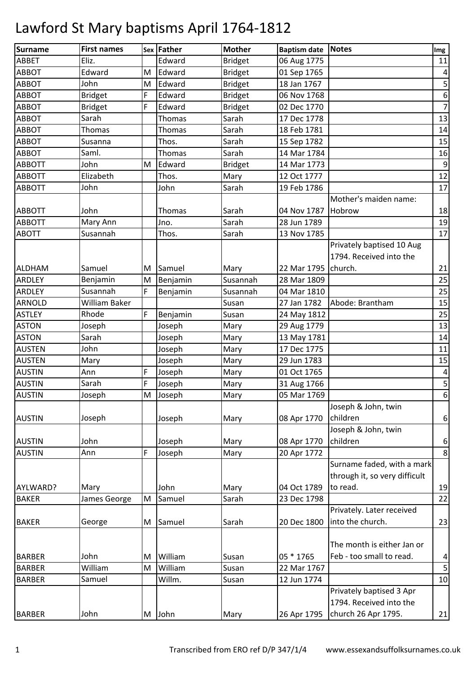| <b>Surname</b> | <b>First names</b> |   | Sex Father | <b>Mother</b>  | <b>Baptism date Notes</b> |                               | Img                     |
|----------------|--------------------|---|------------|----------------|---------------------------|-------------------------------|-------------------------|
| ABBET          | Eliz.              |   | Edward     | <b>Bridget</b> | 06 Aug 1775               |                               | 11                      |
| <b>ABBOT</b>   | Edward             | M | Edward     | <b>Bridget</b> | 01 Sep 1765               |                               | $\pmb{4}$               |
| ABBOT          | John               | M | Edward     | <b>Bridget</b> | 18 Jan 1767               |                               | 5                       |
| <b>ABBOT</b>   | <b>Bridget</b>     | F | Edward     | <b>Bridget</b> | 06 Nov 1768               |                               | $\boldsymbol{6}$        |
| ABBOT          | <b>Bridget</b>     | F | Edward     | <b>Bridget</b> | 02 Dec 1770               |                               | $\overline{7}$          |
| <b>ABBOT</b>   | Sarah              |   | Thomas     | Sarah          | 17 Dec 1778               |                               | 13                      |
| <b>ABBOT</b>   | Thomas             |   | Thomas     | Sarah          | 18 Feb 1781               |                               | 14                      |
| ABBOT          | Susanna            |   | Thos.      | Sarah          | 15 Sep 1782               |                               | 15                      |
| <b>ABBOT</b>   | Saml.              |   | Thomas     | Sarah          | 14 Mar 1784               |                               | 16                      |
| <b>ABBOTT</b>  | John               | M | Edward     | <b>Bridget</b> | 14 Mar 1773               |                               | $\overline{9}$          |
| <b>ABBOTT</b>  | Elizabeth          |   | Thos.      | Mary           | 12 Oct 1777               |                               | 12                      |
| <b>ABBOTT</b>  | John               |   | John       | Sarah          | 19 Feb 1786               |                               | 17                      |
|                |                    |   |            |                |                           | Mother's maiden name:         |                         |
| <b>ABBOTT</b>  | John               |   | Thomas     | Sarah          | 04 Nov 1787 Hobrow        |                               | 18                      |
| <b>ABBOTT</b>  | Mary Ann           |   | Jno.       | Sarah          | 28 Jun 1789               |                               | 19                      |
| <b>ABOTT</b>   | Susannah           |   | Thos.      | Sarah          | 13 Nov 1785               |                               | 17                      |
|                |                    |   |            |                |                           | Privately baptised 10 Aug     |                         |
|                |                    |   |            |                |                           | 1794. Received into the       |                         |
| <b>ALDHAM</b>  | Samuel             | M | Samuel     | Mary           | 22 Mar 1795 church.       |                               | 21                      |
| ARDLEY         | Benjamin           | M | Benjamin   | Susannah       | 28 Mar 1809               |                               | 25                      |
| ARDLEY         | Susannah           | F | Benjamin   | Susannah       | 04 Mar 1810               |                               | 25                      |
| <b>ARNOLD</b>  | William Baker      |   |            | Susan          | 27 Jan 1782               | Abode: Brantham               | 15                      |
| <b>ASTLEY</b>  | Rhode              | F | Benjamin   | Susan          | 24 May 1812               |                               | 25                      |
| <b>ASTON</b>   | Joseph             |   | Joseph     | Mary           | 29 Aug 1779               |                               | 13                      |
| <b>ASTON</b>   | Sarah              |   | Joseph     | Mary           | 13 May 1781               |                               | 14                      |
| <b>AUSTEN</b>  | John               |   | Joseph     | Mary           | 17 Dec 1775               |                               | 11                      |
| <b>AUSTEN</b>  | Mary               |   | Joseph     | Mary           | 29 Jun 1783               |                               | 15                      |
| <b>AUSTIN</b>  | Ann                | F | Joseph     | Mary           | 01 Oct 1765               |                               | 4                       |
| <b>AUSTIN</b>  | Sarah              | F | Joseph     | Mary           | 31 Aug 1766               |                               | $\overline{\mathbf{5}}$ |
| <b>AUSTIN</b>  | Joseph             | M | Joseph     | Mary           | 05 Mar 1769               |                               | $\overline{6}$          |
|                |                    |   |            |                |                           | Joseph & John, twin           |                         |
| <b>AUSTIN</b>  | Joseph             |   | Joseph     | Mary           | 08 Apr 1770               | children                      | 6                       |
|                |                    |   |            |                |                           | Joseph & John, twin           |                         |
| <b>AUSTIN</b>  | John               |   | Joseph     | Mary           | 08 Apr 1770               | children                      | $\boldsymbol{6}$        |
| <b>AUSTIN</b>  | Ann                | F | Joseph     | Mary           | 20 Apr 1772               |                               | 8                       |
|                |                    |   |            |                |                           | Surname faded, with a mark    |                         |
|                |                    |   |            |                |                           | through it, so very difficult |                         |
| AYLWARD?       | Mary               |   | John       | Mary           | 04 Oct 1789               | to read.                      | 19                      |
| <b>BAKER</b>   | James George       | M | Samuel     | Sarah          | 23 Dec 1798               |                               | 22                      |
|                |                    |   |            |                |                           | Privately. Later received     |                         |
| <b>BAKER</b>   | George             | M | Samuel     | Sarah          | 20 Dec 1800               | into the church.              | 23                      |
|                |                    |   |            |                |                           |                               |                         |
|                |                    |   |            |                |                           | The month is either Jan or    |                         |
| <b>BARBER</b>  | John               | M | William    | Susan          | 05 * 1765                 | Feb - too small to read.      | $\overline{\mathbf{r}}$ |
| <b>BARBER</b>  | William            | M | William    | Susan          | 22 Mar 1767               |                               | $\overline{\mathbf{5}}$ |
| <b>BARBER</b>  | Samuel             |   | Willm.     | Susan          | 12 Jun 1774               |                               | 10                      |
|                |                    |   |            |                |                           | Privately baptised 3 Apr      |                         |
|                |                    |   |            |                |                           | 1794. Received into the       |                         |
| <b>BARBER</b>  | John               |   | M John     | Mary           | 26 Apr 1795               | church 26 Apr 1795.           | 21                      |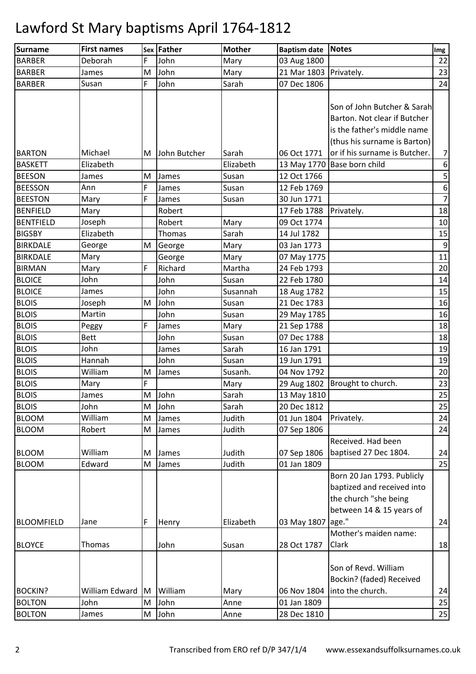| <b>Surname</b>               | <b>First names</b> |          | Sex Father     | <b>Mother</b>    | <b>Baptism date</b>        | <b>Notes</b>                                                                                                               | Img            |
|------------------------------|--------------------|----------|----------------|------------------|----------------------------|----------------------------------------------------------------------------------------------------------------------------|----------------|
| <b>BARBER</b>                | Deborah            | F        | John           | Mary             | 03 Aug 1800                |                                                                                                                            | 22             |
| <b>BARBER</b>                | James              | M        | John           | Mary             | 21 Mar 1803 Privately.     |                                                                                                                            | 23             |
| <b>BARBER</b>                | Susan              | F        | John           | Sarah            | 07 Dec 1806                |                                                                                                                            | 24             |
|                              |                    |          |                |                  |                            | Son of John Butcher & Sarah<br>Barton. Not clear if Butcher<br>is the father's middle name<br>(thus his surname is Barton) |                |
| <b>BARTON</b>                | Michael            |          | M John Butcher | Sarah            | 06 Oct 1771                | or if his surname is Butcher.                                                                                              | $7\vert$       |
| <b>BASKETT</b>               | Elizabeth          |          |                | Elizabeth        |                            | 13 May 1770 Base born child                                                                                                | $6 \mid$       |
| <b>BEESON</b>                | James              | М        | James          | Susan            | 12 Oct 1766                |                                                                                                                            | 5              |
| <b>BEESSON</b>               | Ann                | F        | James          | Susan            | 12 Feb 1769                |                                                                                                                            | $6 \mid$       |
| <b>BEESTON</b>               | Mary               | F        | James          | Susan            | 30 Jun 1771                |                                                                                                                            | 7 <sup>1</sup> |
| <b>BENFIELD</b>              | Mary               |          | Robert         |                  | 17 Feb 1788                | Privately.                                                                                                                 | 18             |
| <b>BENTFIELD</b>             | Joseph             |          | Robert         | Mary             | 09 Oct 1774                |                                                                                                                            | 10             |
| <b>BIGSBY</b>                | Elizabeth          |          | Thomas         | Sarah            | 14 Jul 1782                |                                                                                                                            | 15             |
| <b>BIRKDALE</b>              | George             | M        | George         | Mary             | 03 Jan 1773                |                                                                                                                            | $\overline{9}$ |
| <b>BIRKDALE</b>              | Mary               |          | George         | Mary             | 07 May 1775                |                                                                                                                            | 11             |
| <b>BIRMAN</b>                | Mary               | F        | Richard        | Martha           | 24 Feb 1793                |                                                                                                                            | 20             |
| <b>BLOICE</b>                | John               |          | John           | Susan            | 22 Feb 1780                |                                                                                                                            | 14             |
| <b>BLOICE</b>                | James              |          | John           | Susannah         | 18 Aug 1782                |                                                                                                                            | 15             |
| <b>BLOIS</b>                 | Joseph             | M        | John           | Susan            | 21 Dec 1783                |                                                                                                                            | 16             |
| <b>BLOIS</b>                 | Martin             |          | John           | Susan            | 29 May 1785                |                                                                                                                            | 16             |
| <b>BLOIS</b>                 | Peggy              | F        | James          | Mary             | 21 Sep 1788                |                                                                                                                            | 18             |
| <b>BLOIS</b>                 | <b>Bett</b>        |          | John           | Susan            | 07 Dec 1788                |                                                                                                                            | 18             |
| <b>BLOIS</b>                 | John               |          | James          | Sarah            | 16 Jan 1791                |                                                                                                                            | 19             |
| <b>BLOIS</b>                 | Hannah             |          | John           | Susan            | 19 Jun 1791                |                                                                                                                            | 19             |
| <b>BLOIS</b>                 | William            | M        | James          | Susanh.          | 04 Nov 1792                |                                                                                                                            | 20             |
| <b>BLOIS</b>                 | Mary               | F        |                | Mary             |                            | 29 Aug 1802   Brought to church.                                                                                           | 23             |
| <b>BLOIS</b>                 | James              |          | M John         | Sarah            | 13 May 1810                |                                                                                                                            | 25             |
| <b>BLOIS</b>                 | John               | M        | John           | Sarah            | 20 Dec 1812                |                                                                                                                            | 25             |
| <b>BLOOM</b>                 | William            | M        | James          | Judith           | 01 Jun 1804                | Privately.                                                                                                                 | 24             |
| <b>BLOOM</b>                 | Robert             | M        | James          | Judith           | 07 Sep 1806                |                                                                                                                            | 24             |
| <b>BLOOM</b><br><b>BLOOM</b> | William<br>Edward  | M<br>M   | James<br>James | Judith<br>Judith | 07 Sep 1806<br>01 Jan 1809 | Received. Had been<br>baptised 27 Dec 1804.                                                                                | 24<br>25       |
|                              |                    |          |                |                  |                            | Born 20 Jan 1793. Publicly<br>baptized and received into<br>the church "she being<br>between 14 & 15 years of              |                |
| <b>BLOOMFIELD</b>            | Jane               | F        | Henry          | Elizabeth        | 03 May 1807 age."          |                                                                                                                            | 24             |
| <b>BLOYCE</b>                | Thomas             |          | John           | Susan            | 28 Oct 1787                | Mother's maiden name:<br>Clark                                                                                             | 18             |
|                              |                    |          |                |                  |                            | Son of Revd. William<br>Bockin? (faded) Received                                                                           |                |
| <b>BOCKIN?</b>               | William Edward     | <b>M</b> | William        | Mary             | 06 Nov 1804                | into the church.                                                                                                           | 24             |
| <b>BOLTON</b>                | John               | M        | John           | Anne             | 01 Jan 1809                |                                                                                                                            | 25             |
| <b>BOLTON</b>                | James              | M        | John           | Anne             | 28 Dec 1810                |                                                                                                                            | 25             |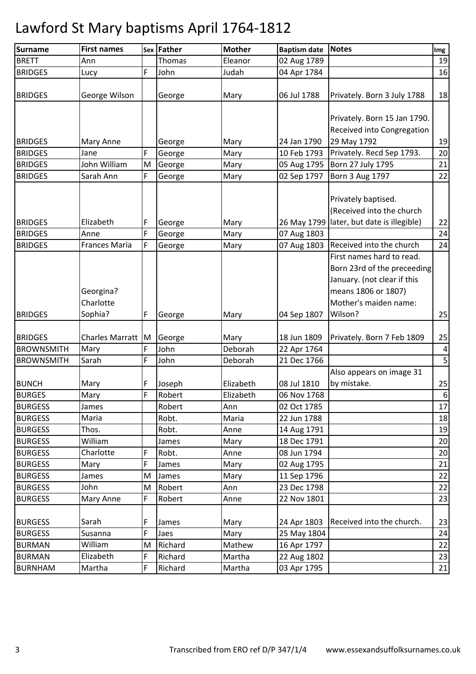| <b>Surname</b>    | <b>First names</b>   |   | Sex Father | <b>Mother</b> | <b>Baptism date</b> | <b>Notes</b>                                | Img              |
|-------------------|----------------------|---|------------|---------------|---------------------|---------------------------------------------|------------------|
| <b>BRETT</b>      | Ann                  |   | Thomas     | Eleanor       | 02 Aug 1789         |                                             | 19               |
| <b>BRIDGES</b>    | Lucy                 | F | John       | Judah         | 04 Apr 1784         |                                             | 16               |
|                   |                      |   |            |               |                     |                                             |                  |
| <b>BRIDGES</b>    | George Wilson        |   | George     | Mary          | 06 Jul 1788         | Privately. Born 3 July 1788                 | 18               |
|                   |                      |   |            |               |                     |                                             |                  |
|                   |                      |   |            |               |                     | Privately. Born 15 Jan 1790.                |                  |
|                   |                      |   |            |               |                     | Received into Congregation                  |                  |
| <b>BRIDGES</b>    | Mary Anne            |   | George     | Mary          | 24 Jan 1790         | 29 May 1792                                 | 19               |
| <b>BRIDGES</b>    | Jane                 | F | George     | Mary          | 10 Feb 1793         | Privately. Recd Sep 1793.                   | 20               |
| <b>BRIDGES</b>    | John William         | M | George     | Mary          | 05 Aug 1795         | Born 27 July 1795                           | 21               |
| <b>BRIDGES</b>    | Sarah Ann            | F | George     | Mary          | 02 Sep 1797         | <b>Born 3 Aug 1797</b>                      | 22               |
|                   |                      |   |            |               |                     |                                             |                  |
|                   |                      |   |            |               |                     | Privately baptised.                         |                  |
|                   |                      |   |            |               |                     | (Received into the church                   |                  |
| <b>BRIDGES</b>    | Elizabeth            | F | George     | Mary          |                     | 26 May 1799   later, but date is illegible) | 22               |
| <b>BRIDGES</b>    | Anne                 | F | George     | Mary          | 07 Aug 1803         |                                             | 24               |
| <b>BRIDGES</b>    | <b>Frances Maria</b> | F | George     | Mary          | 07 Aug 1803         | Received into the church                    | 24               |
|                   |                      |   |            |               |                     | First names hard to read.                   |                  |
|                   |                      |   |            |               |                     | Born 23rd of the preceeding                 |                  |
|                   |                      |   |            |               |                     | January. (not clear if this                 |                  |
|                   | Georgina?            |   |            |               |                     | means 1806 or 1807)                         |                  |
|                   | Charlotte            |   |            |               |                     | Mother's maiden name:                       |                  |
| <b>BRIDGES</b>    | Sophia?              | F | George     | Mary          | 04 Sep 1807         | Wilson?                                     | 25               |
|                   |                      |   |            |               |                     |                                             |                  |
| <b>BRIDGES</b>    | Charles Marratt M    |   | George     | Mary          | 18 Jun 1809         | Privately. Born 7 Feb 1809                  | 25               |
| <b>BROWNSMITH</b> | Mary                 | F | John       | Deborah       | 22 Apr 1764         |                                             | $\boldsymbol{4}$ |
| <b>BROWNSMITH</b> | Sarah                | F | John       | Deborah       | 21 Dec 1766         |                                             | 5 <sup>1</sup>   |
|                   |                      |   |            |               |                     | Also appears on image 31                    |                  |
| <b>BUNCH</b>      | Mary                 | F | Joseph     | Elizabeth     | 08 Jul 1810         | by mistake.                                 | 25               |
| <b>BURGES</b>     | Mary                 | F | Robert     | Elizabeth     | 06 Nov 1768         |                                             | 6                |
| <b>BURGESS</b>    | James                |   | Robert     | Ann           | 02 Oct 1785         |                                             | 17               |
| <b>BURGESS</b>    | Maria                |   | Robt.      | Maria         | 22 Jun 1788         |                                             | 18               |
| <b>BURGESS</b>    | Thos.                |   | Robt.      | Anne          | 14 Aug 1791         |                                             | 19               |
| <b>BURGESS</b>    | William              |   | James      | Mary          | 18 Dec 1791         |                                             | 20               |
| <b>BURGESS</b>    | Charlotte            | F | Robt.      | Anne          | 08 Jun 1794         |                                             | 20               |
| <b>BURGESS</b>    | Mary                 | F | James      | Mary          | 02 Aug 1795         |                                             | 21               |
| <b>BURGESS</b>    | James                | M | James      | Mary          | 11 Sep 1796         |                                             | 22               |
| <b>BURGESS</b>    | John                 | M | Robert     | Ann           | 23 Dec 1798         |                                             | 22               |
| <b>BURGESS</b>    | Mary Anne            | F | Robert     | Anne          | 22 Nov 1801         |                                             | 23               |
|                   |                      |   |            |               |                     |                                             |                  |
| <b>BURGESS</b>    | Sarah                | F | James      | Mary          | 24 Apr 1803         | Received into the church.                   | 23               |
| <b>BURGESS</b>    | Susanna              | F | Jaes       | Mary          | 25 May 1804         |                                             | 24               |
| <b>BURMAN</b>     | William              | M | Richard    | Mathew        | 16 Apr 1797         |                                             | 22               |
| <b>BURMAN</b>     | Elizabeth            | F | Richard    | Martha        | 22 Aug 1802         |                                             | 23               |
| <b>BURNHAM</b>    | Martha               | F | Richard    | Martha        | 03 Apr 1795         |                                             | 21               |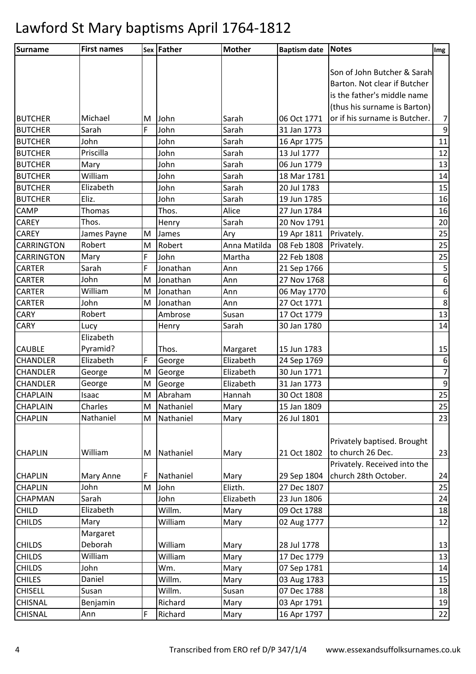| Surname           | <b>First names</b> |   | Sex Father | <b>Mother</b> | <b>Baptism date Notes</b> |                               | Img              |
|-------------------|--------------------|---|------------|---------------|---------------------------|-------------------------------|------------------|
|                   |                    |   |            |               |                           |                               |                  |
|                   |                    |   |            |               |                           | Son of John Butcher & Sarah   |                  |
|                   |                    |   |            |               |                           | Barton. Not clear if Butcher  |                  |
|                   |                    |   |            |               |                           | is the father's middle name   |                  |
|                   |                    |   |            |               |                           | (thus his surname is Barton)  |                  |
| <b>BUTCHER</b>    | Michael            | M | John       | Sarah         | 06 Oct 1771               | or if his surname is Butcher. | $7\vert$         |
| <b>BUTCHER</b>    | Sarah              | F | John       | Sarah         | 31 Jan 1773               |                               | $\overline{9}$   |
| <b>BUTCHER</b>    | John               |   | John       | Sarah         | 16 Apr 1775               |                               | 11               |
| <b>BUTCHER</b>    | Priscilla          |   | John       | Sarah         | 13 Jul 1777               |                               | 12               |
| <b>BUTCHER</b>    | Mary               |   | John       | Sarah         | 06 Jun 1779               |                               | 13               |
| <b>BUTCHER</b>    | William            |   | John       | Sarah         | 18 Mar 1781               |                               | 14               |
| <b>BUTCHER</b>    | Elizabeth          |   | John       | Sarah         | 20 Jul 1783               |                               | 15               |
| <b>BUTCHER</b>    | Eliz.              |   | John       | Sarah         | 19 Jun 1785               |                               | 16               |
| <b>CAMP</b>       | <b>Thomas</b>      |   | Thos.      | Alice         | 27 Jun 1784               |                               | 16               |
| <b>CAREY</b>      | Thos.              |   | Henry      | Sarah         | 20 Nov 1791               |                               | 20               |
| <b>CAREY</b>      | James Payne        | M | James      | Ary           | 19 Apr 1811               | Privately.                    | 25               |
| <b>CARRINGTON</b> | Robert             | M | Robert     | Anna Matilda  | 08 Feb 1808               | Privately.                    | 25               |
| <b>CARRINGTON</b> | Mary               | F | John       | Martha        | 22 Feb 1808               |                               | 25               |
| <b>CARTER</b>     | Sarah              | F | Jonathan   | Ann           | 21 Sep 1766               |                               | $\mathsf S$      |
| <b>CARTER</b>     | John               | M | Jonathan   | Ann           | 27 Nov 1768               |                               | 6                |
| <b>CARTER</b>     | William            | M | Jonathan   | Ann           | 06 May 1770               |                               | 6                |
| <b>CARTER</b>     | John               | M | Jonathan   | Ann           | 27 Oct 1771               |                               | $\bf 8$          |
| <b>CARY</b>       | Robert             |   | Ambrose    | Susan         | 17 Oct 1779               |                               | 13               |
| <b>CARY</b>       | Lucy               |   | Henry      | Sarah         | 30 Jan 1780               |                               | 14               |
|                   | Elizabeth          |   |            |               |                           |                               |                  |
| <b>CAUBLE</b>     | Pyramid?           |   | Thos.      | Margaret      | 15 Jun 1783               |                               | 15               |
| <b>CHANDLER</b>   | Elizabeth          | F | George     | Elizabeth     | 24 Sep 1769               |                               | $\boldsymbol{6}$ |
| <b>CHANDLER</b>   | George             | M | George     | Elizabeth     | 30 Jun 1771               |                               | $\overline{7}$   |
| <b>CHANDLER</b>   | George             | M | George     | Elizabeth     | 31 Jan 1773               |                               | $\boldsymbol{9}$ |
| <b>CHAPLAIN</b>   | Isaac              | M | Abraham    | Hannah        | 30 Oct 1808               |                               | 25               |
| <b>CHAPLAIN</b>   | Charles            | M | Nathaniel  | Mary          | 15 Jan 1809               |                               | 25               |
| <b>CHAPLIN</b>    | Nathaniel          | M | Nathaniel  | Mary          | 26 Jul 1801               |                               | 23               |
|                   |                    |   |            |               |                           |                               |                  |
|                   |                    |   |            |               |                           | Privately baptised. Brought   |                  |
| <b>CHAPLIN</b>    | William            | M | Nathaniel  | Mary          | 21 Oct 1802               | to church 26 Dec.             | 23               |
|                   |                    |   |            |               |                           | Privately. Received into the  |                  |
| <b>CHAPLIN</b>    | <b>Mary Anne</b>   | F | Nathaniel  | Mary          | 29 Sep 1804               | church 28th October.          | 24               |
| <b>CHAPLIN</b>    | John               | M | John       | Elizth.       | 27 Dec 1807               |                               | 25               |
| CHAPMAN           | Sarah              |   | John       | Elizabeth     | 23 Jun 1806               |                               | 24               |
| <b>CHILD</b>      | Elizabeth          |   | Willm.     | Mary          | 09 Oct 1788               |                               | 18               |
| <b>CHILDS</b>     | Mary               |   | William    | Mary          | 02 Aug 1777               |                               | 12               |
|                   | Margaret           |   |            |               |                           |                               |                  |
| <b>CHILDS</b>     | Deborah            |   | William    | Mary          | 28 Jul 1778               |                               | 13               |
| <b>CHILDS</b>     | William            |   | William    | Mary          | 17 Dec 1779               |                               | 13               |
| <b>CHILDS</b>     | John               |   | Wm.        | Mary          | 07 Sep 1781               |                               | 14               |
| <b>CHILES</b>     | Daniel             |   | Willm.     | Mary          | 03 Aug 1783               |                               | 15               |
| <b>CHISELL</b>    | Susan              |   | Willm.     | Susan         | 07 Dec 1788               |                               | 18               |
| <b>CHISNAL</b>    | Benjamin           |   | Richard    | Mary          | 03 Apr 1791               |                               | 19               |
| CHISNAL           | Ann                | F | Richard    | Mary          | 16 Apr 1797               |                               | 22               |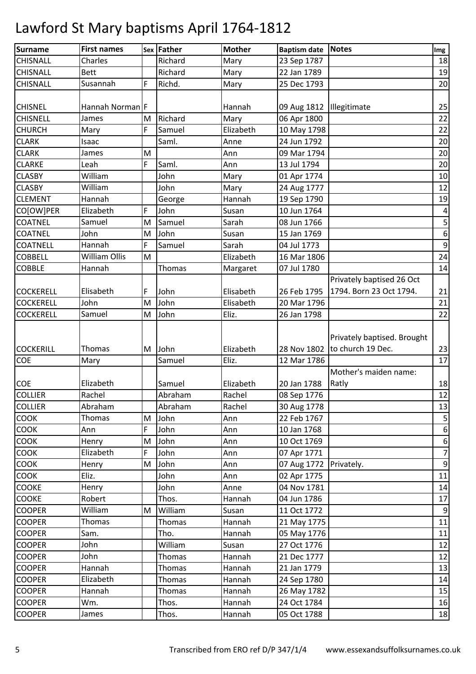| <b>Surname</b>   | <b>First names</b>   |   | Sex Father | <b>Mother</b> | <b>Baptism date Notes</b>  |                             | Img              |
|------------------|----------------------|---|------------|---------------|----------------------------|-----------------------------|------------------|
| <b>CHISNALL</b>  | Charles              |   | Richard    | Mary          | 23 Sep 1787                |                             | 18               |
| <b>CHISNALL</b>  | <b>Bett</b>          |   | Richard    | Mary          | 22 Jan 1789                |                             | 19               |
| <b>CHISNALL</b>  | Susannah             | F | Richd.     | Mary          | 25 Dec 1793                |                             | 20               |
|                  |                      |   |            |               |                            |                             |                  |
| <b>CHISNEL</b>   | Hannah Norman F      |   |            | Hannah        | 09 Aug 1812   Illegitimate |                             | 25               |
| <b>CHISNELL</b>  | James                | M | Richard    | Mary          | 06 Apr 1800                |                             | 22               |
| <b>CHURCH</b>    | Mary                 | F | Samuel     | Elizabeth     | 10 May 1798                |                             | 22               |
| <b>CLARK</b>     | Isaac                |   | Saml.      | Anne          | 24 Jun 1792                |                             | 20               |
| <b>CLARK</b>     | James                | M |            | Ann           | 09 Mar 1794                |                             | $20\,$           |
| <b>CLARKE</b>    | Leah                 | F | Saml.      | Ann           | 13 Jul 1794                |                             | 20               |
| <b>CLASBY</b>    | William              |   | John       | Mary          | 01 Apr 1774                |                             | 10               |
| <b>CLASBY</b>    | William              |   | John       | Mary          | 24 Aug 1777                |                             | 12               |
| <b>CLEMENT</b>   | Hannah               |   | George     | Hannah        | 19 Sep 1790                |                             | 19               |
| CO[OW]PER        | Elizabeth            | F | John       | Susan         | 10 Jun 1764                |                             | $\pmb{4}$        |
| <b>COATNEL</b>   | Samuel               | M | Samuel     | Sarah         | 08 Jun 1766                |                             | 5                |
| <b>COATNEL</b>   | John                 | M | John       | Susan         | 15 Jan 1769                |                             | 6                |
| <b>COATNELL</b>  | Hannah               | F | Samuel     | Sarah         | 04 Jul 1773                |                             | $\mathsf 9$      |
| <b>COBBELL</b>   | <b>William Ollis</b> | M |            | Elizabeth     | 16 Mar 1806                |                             | 24               |
| <b>COBBLE</b>    | Hannah               |   | Thomas     | Margaret      | 07 Jul 1780                |                             | 14               |
|                  |                      |   |            |               |                            | Privately baptised 26 Oct   |                  |
| <b>COCKERELL</b> | Elisabeth            | F | John       | Elisabeth     | 26 Feb 1795                | 1794. Born 23 Oct 1794.     | 21               |
| <b>COCKERELL</b> | John                 | M | John       | Elisabeth     | 20 Mar 1796                |                             | 21               |
| <b>COCKERELL</b> | Samuel               | M | John       | Eliz.         | 26 Jan 1798                |                             | 22               |
|                  |                      |   |            |               |                            |                             |                  |
|                  |                      |   |            |               |                            | Privately baptised. Brought |                  |
| <b>COCKERILL</b> | <b>Thomas</b>        | M | John       | Elizabeth     | 28 Nov 1802                | to church 19 Dec.           | 23               |
| <b>COE</b>       | Mary                 |   | Samuel     | Eliz.         | 12 Mar 1786                |                             | 17               |
|                  |                      |   |            |               |                            | Mother's maiden name:       |                  |
| <b>COE</b>       | Elizabeth            |   | Samuel     | Elizabeth     | 20 Jan 1788                | Ratly                       | 18               |
| <b>COLLIER</b>   | Rachel               |   | Abraham    | Rachel        | 08 Sep 1776                |                             | 12               |
| <b>COLLIER</b>   | Abraham              |   | Abraham    | Rachel        | 30 Aug 1778                |                             | 13               |
| <b>COOK</b>      | Thomas               | M | John       | Ann           | 22 Feb 1767                |                             | $\mathsf{5}$     |
| <b>COOK</b>      | Ann                  | F | John       | Ann           | 10 Jan 1768                |                             | $\boldsymbol{6}$ |
| <b>COOK</b>      | Henry                | M | John       | Ann           | 10 Oct 1769                |                             | 6                |
| COOK             | Elizabeth            | F | John       | Ann           | 07 Apr 1771                |                             | $\overline{7}$   |
| <b>COOK</b>      | Henry                | M | John       | Ann           | 07 Aug 1772 Privately.     |                             | 9                |
| <b>COOK</b>      | Eliz.                |   | John       | Ann           | 02 Apr 1775                |                             | 11               |
| <b>COOKE</b>     | Henry                |   | John       | Anne          | 04 Nov 1781                |                             | 14               |
| <b>COOKE</b>     | Robert               |   | Thos.      | Hannah        | 04 Jun 1786                |                             | 17               |
| <b>COOPER</b>    | William              | M | William    | Susan         | 11 Oct 1772                |                             | 9                |
| <b>COOPER</b>    | Thomas               |   | Thomas     | Hannah        | 21 May 1775                |                             | 11               |
| <b>COOPER</b>    | Sam.                 |   | Tho.       | Hannah        | 05 May 1776                |                             | 11               |
| <b>COOPER</b>    | John                 |   | William    | Susan         | 27 Oct 1776                |                             | 12               |
| <b>COOPER</b>    | John                 |   | Thomas     | Hannah        | 21 Dec 1777                |                             | 12               |
| <b>COOPER</b>    | Hannah               |   | Thomas     | Hannah        | 21 Jan 1779                |                             | 13               |
| <b>COOPER</b>    | Elizabeth            |   | Thomas     | Hannah        | 24 Sep 1780                |                             | 14               |
| <b>COOPER</b>    | Hannah               |   | Thomas     | Hannah        | 26 May 1782                |                             | 15               |
| <b>COOPER</b>    | Wm.                  |   | Thos.      | Hannah        | 24 Oct 1784                |                             | 16               |
| <b>COOPER</b>    | James                |   | Thos.      | Hannah        | 05 Oct 1788                |                             | 18               |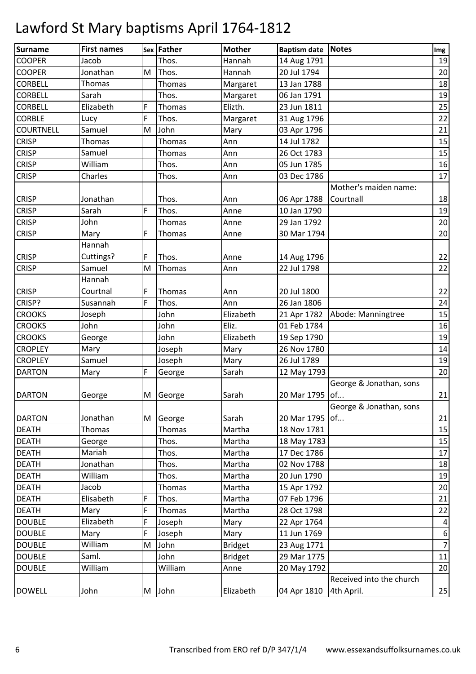| <b>Surname</b>   | <b>First names</b> |   | <b>Sex Father</b> | <b>Mother</b>  | <b>Baptism date Notes</b> |                          | Img                     |
|------------------|--------------------|---|-------------------|----------------|---------------------------|--------------------------|-------------------------|
| <b>COOPER</b>    | Jacob              |   | Thos.             | Hannah         | 14 Aug 1791               |                          | 19                      |
| <b>COOPER</b>    | Jonathan           | M | Thos.             | Hannah         | 20 Jul 1794               |                          | 20                      |
| <b>CORBELL</b>   | <b>Thomas</b>      |   | Thomas            | Margaret       | 13 Jan 1788               |                          | 18                      |
| <b>CORBELL</b>   | Sarah              |   | Thos.             | Margaret       | 06 Jan 1791               |                          | 19                      |
| <b>CORBELL</b>   | Elizabeth          | F | Thomas            | Elizth.        | 23 Jun 1811               |                          | 25                      |
| <b>CORBLE</b>    | Lucy               | F | Thos.             | Margaret       | 31 Aug 1796               |                          | 22                      |
| <b>COURTNELL</b> | Samuel             | M | John              | Mary           | 03 Apr 1796               |                          | 21                      |
| <b>CRISP</b>     | <b>Thomas</b>      |   | Thomas            | Ann            | 14 Jul 1782               |                          | 15                      |
| <b>CRISP</b>     | Samuel             |   | Thomas            | Ann            | 26 Oct 1783               |                          | 15                      |
| <b>CRISP</b>     | William            |   | Thos.             | Ann            | 05 Jun 1785               |                          | 16                      |
| <b>CRISP</b>     | Charles            |   | Thos.             | Ann            | 03 Dec 1786               |                          | 17                      |
|                  |                    |   |                   |                |                           | Mother's maiden name:    |                         |
| <b>CRISP</b>     | Jonathan           |   | Thos.             | Ann            | 06 Apr 1788               | Courtnall                | 18                      |
| <b>CRISP</b>     | Sarah              | F | Thos.             | Anne           | 10 Jan 1790               |                          | 19                      |
| <b>CRISP</b>     | John               |   | <b>Thomas</b>     | Anne           | 29 Jan 1792               |                          | 20                      |
| <b>CRISP</b>     | Mary               | F | Thomas            | Anne           | 30 Mar 1794               |                          | 20                      |
|                  | Hannah             |   |                   |                |                           |                          |                         |
| <b>CRISP</b>     | Cuttings?          | F | Thos.             | Anne           | 14 Aug 1796               |                          | 22                      |
| <b>CRISP</b>     | Samuel             | M | Thomas            | Ann            | 22 Jul 1798               |                          | 22                      |
|                  | Hannah             |   |                   |                |                           |                          |                         |
| <b>CRISP</b>     | Courtnal           | F | Thomas            | Ann            | 20 Jul 1800               |                          | 22                      |
| CRISP?           | Susannah           | F | Thos.             | Ann            | 26 Jan 1806               |                          | 24                      |
| <b>CROOKS</b>    | Joseph             |   | John              | Elizabeth      | 21 Apr 1782               | Abode: Manningtree       | 15                      |
| <b>CROOKS</b>    | John               |   | John              | Eliz.          | 01 Feb 1784               |                          | 16                      |
| <b>CROOKS</b>    | George             |   | John              | Elizabeth      | 19 Sep 1790               |                          | 19                      |
| <b>CROPLEY</b>   | Mary               |   | Joseph            | Mary           | 26 Nov 1780               |                          | 14                      |
| <b>CROPLEY</b>   | Samuel             |   | Joseph            | Mary           | 26 Jul 1789               |                          | 19                      |
| <b>DARTON</b>    | Mary               | F | George            | Sarah          | 12 May 1793               |                          | 20                      |
|                  |                    |   |                   |                |                           | George & Jonathan, sons  |                         |
| <b>DARTON</b>    | George             |   | M George          | Sarah          | 20 Mar 1795 of            |                          | 21                      |
|                  |                    |   |                   |                |                           | George & Jonathan, sons  |                         |
| <b>DARTON</b>    | Jonathan           | M | George            | Sarah          | 20 Mar 1795 of            |                          | 21                      |
| <b>DEATH</b>     | Thomas             |   | Thomas            | Martha         | 18 Nov 1781               |                          | 15                      |
| <b>DEATH</b>     | George             |   | Thos.             | Martha         | 18 May 1783               |                          | 15                      |
| <b>DEATH</b>     | Mariah             |   | Thos.             | Martha         | 17 Dec 1786               |                          | 17                      |
| <b>DEATH</b>     | Jonathan           |   | Thos.             | Martha         | 02 Nov 1788               |                          | 18                      |
| <b>DEATH</b>     | William            |   | Thos.             | Martha         | 20 Jun 1790               |                          | 19                      |
| <b>DEATH</b>     | Jacob              |   | Thomas            | Martha         | 15 Apr 1792               |                          | 20                      |
| <b>DEATH</b>     | Elisabeth          | F | Thos.             | Martha         | 07 Feb 1796               |                          | 21                      |
| <b>DEATH</b>     | Mary               | F | Thomas            | Martha         | 28 Oct 1798               |                          | 22                      |
| <b>DOUBLE</b>    | Elizabeth          | F | Joseph            | Mary           | 22 Apr 1764               |                          | $\overline{\mathbf{r}}$ |
| <b>DOUBLE</b>    | Mary               | F | Joseph            | Mary           | 11 Jun 1769               |                          | $\boldsymbol{6}$        |
| <b>DOUBLE</b>    | William            | M | John              | <b>Bridget</b> | 23 Aug 1771               |                          | $\overline{7}$          |
| <b>DOUBLE</b>    | Saml.              |   | John              | <b>Bridget</b> | 29 Mar 1775               |                          | $11\,$                  |
| <b>DOUBLE</b>    | William            |   | William           | Anne           | 20 May 1792               |                          | 20                      |
|                  |                    |   |                   |                |                           | Received into the church |                         |
| <b>DOWELL</b>    | John               |   | M John            | Elizabeth      | 04 Apr 1810               | 4th April.               | 25                      |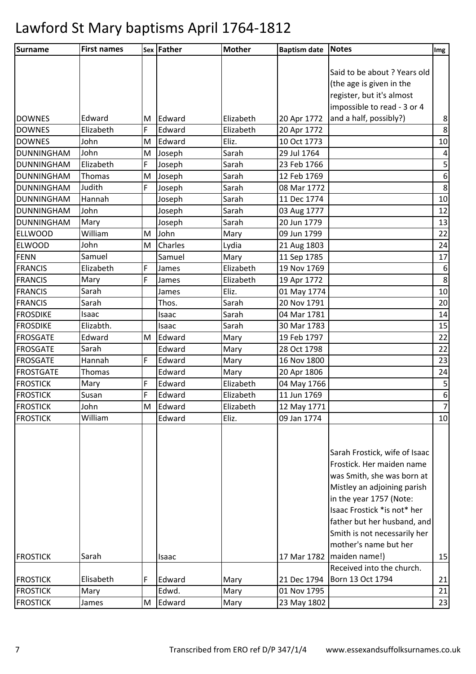| Surname           | <b>First names</b> |   | Sex Father | <b>Mother</b> | <b>Baptism date</b> | Notes                         | Img              |
|-------------------|--------------------|---|------------|---------------|---------------------|-------------------------------|------------------|
|                   |                    |   |            |               |                     |                               |                  |
|                   |                    |   |            |               |                     | Said to be about ? Years old  |                  |
|                   |                    |   |            |               |                     | (the age is given in the      |                  |
|                   |                    |   |            |               |                     | register, but it's almost     |                  |
|                   |                    |   |            |               |                     | impossible to read - 3 or 4   |                  |
| <b>DOWNES</b>     | Edward             | M | Edward     | Elizabeth     | 20 Apr 1772         | and a half, possibly?)        | $\bf 8$          |
| <b>DOWNES</b>     | Elizabeth          | F | Edward     | Elizabeth     | 20 Apr 1772         |                               | $\bf 8$          |
| <b>DOWNES</b>     | John               | M | Edward     | Eliz.         | 10 Oct 1773         |                               | 10               |
| DUNNINGHAM        | John               | M | Joseph     | Sarah         | 29 Jul 1764         |                               | $\pmb{4}$        |
| DUNNINGHAM        | Elizabeth          | F | Joseph     | Sarah         | 23 Feb 1766         |                               | 5                |
| DUNNINGHAM        | Thomas             | M | Joseph     | Sarah         | 12 Feb 1769         |                               | $\boldsymbol{6}$ |
| <b>DUNNINGHAM</b> | Judith             | F | Joseph     | Sarah         | 08 Mar 1772         |                               | 8                |
| <b>DUNNINGHAM</b> | Hannah             |   | Joseph     | Sarah         | 11 Dec 1774         |                               | 10               |
| <b>DUNNINGHAM</b> | John               |   | Joseph     | Sarah         | 03 Aug 1777         |                               | 12               |
| DUNNINGHAM        | Mary               |   | Joseph     | Sarah         | 20 Jun 1779         |                               | 13               |
| <b>ELLWOOD</b>    | William            | M | John       | Mary          | 09 Jun 1799         |                               | 22               |
| <b>ELWOOD</b>     | John               | M | Charles    | Lydia         | 21 Aug 1803         |                               | 24               |
| <b>FENN</b>       | Samuel             |   | Samuel     | Mary          | 11 Sep 1785         |                               | 17               |
| <b>FRANCIS</b>    | Elizabeth          | F | James      | Elizabeth     | 19 Nov 1769         |                               | $\boldsymbol{6}$ |
| <b>FRANCIS</b>    | Mary               | F | James      | Elizabeth     | 19 Apr 1772         |                               | $\bf 8$          |
| <b>FRANCIS</b>    | Sarah              |   | James      | Eliz.         | 01 May 1774         |                               | 10               |
| <b>FRANCIS</b>    | Sarah              |   | Thos.      | Sarah         | 20 Nov 1791         |                               | 20               |
| <b>FROSDIKE</b>   | Isaac              |   | Isaac      | Sarah         | 04 Mar 1781         |                               | 14               |
| <b>FROSDIKE</b>   | Elizabth.          |   | Isaac      | Sarah         | 30 Mar 1783         |                               | 15               |
| <b>FROSGATE</b>   | Edward             | M | Edward     | Mary          | 19 Feb 1797         |                               | 22               |
| <b>FROSGATE</b>   | Sarah              |   | Edward     | Mary          | 28 Oct 1798         |                               | 22               |
| <b>FROSGATE</b>   | Hannah             | F | Edward     | Mary          | 16 Nov 1800         |                               | 23               |
| <b>FROSTGATE</b>  | <b>Thomas</b>      |   | Edward     | Mary          | 20 Apr 1806         |                               | 24               |
| <b>FROSTICK</b>   | Mary               | F | Edward     | Elizabeth     | 04 May 1766         |                               | $\mathsf S$      |
| <b>FROSTICK</b>   | Susan              | F | Edward     | Elizabeth     | 11 Jun 1769         |                               | $\boldsymbol{6}$ |
| <b>FROSTICK</b>   | John               | M | Edward     | Elizabeth     | 12 May 1771         |                               | $\overline{7}$   |
| <b>FROSTICK</b>   | William            |   | Edward     | Eliz.         | 09 Jan 1774         |                               | 10               |
|                   |                    |   |            |               |                     |                               |                  |
|                   |                    |   |            |               |                     |                               |                  |
|                   |                    |   |            |               |                     | Sarah Frostick, wife of Isaac |                  |
|                   |                    |   |            |               |                     | Frostick. Her maiden name     |                  |
|                   |                    |   |            |               |                     | was Smith, she was born at    |                  |
|                   |                    |   |            |               |                     | Mistley an adjoining parish   |                  |
|                   |                    |   |            |               |                     | in the year 1757 (Note:       |                  |
|                   |                    |   |            |               |                     | Isaac Frostick *is not* her   |                  |
|                   |                    |   |            |               |                     | father but her husband, and   |                  |
|                   |                    |   |            |               |                     | Smith is not necessarily her  |                  |
|                   |                    |   |            |               |                     | mother's name but her         |                  |
| <b>FROSTICK</b>   | Sarah              |   | Isaac      |               |                     | 17 Mar 1782   maiden name!)   | 15               |
|                   |                    |   |            |               |                     | Received into the church.     |                  |
| <b>FROSTICK</b>   | Elisabeth          | F | Edward     | Mary          | 21 Dec 1794         | Born 13 Oct 1794              | 21               |
| <b>FROSTICK</b>   | Mary               |   | Edwd.      | Mary          | 01 Nov 1795         |                               | 21               |
| <b>FROSTICK</b>   | James              | M | Edward     | Mary          | 23 May 1802         |                               | 23               |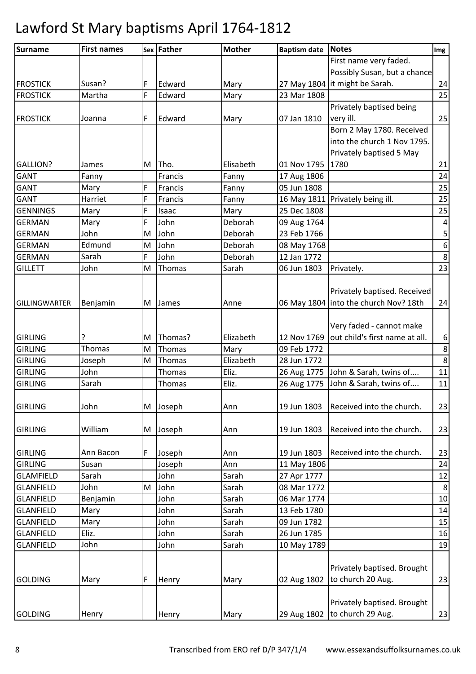| <b>Surname</b>       | <b>First names</b> |   | Sex Father | <b>Mother</b> | <b>Baptism date</b> | Notes                                      | Img              |
|----------------------|--------------------|---|------------|---------------|---------------------|--------------------------------------------|------------------|
|                      |                    |   |            |               |                     | First name very faded.                     |                  |
|                      |                    |   |            |               |                     | Possibly Susan, but a chance               |                  |
| <b>FROSTICK</b>      | Susan?             | F | Edward     | Mary          |                     | 27 May 1804   it might be Sarah.           | 24               |
| <b>FROSTICK</b>      | Martha             | F | Edward     | Mary          | 23 Mar 1808         |                                            | 25               |
|                      |                    |   |            |               |                     | Privately baptised being                   |                  |
| <b>FROSTICK</b>      | Joanna             | F | Edward     | Mary          | 07 Jan 1810         | very ill.                                  | 25               |
|                      |                    |   |            |               |                     | Born 2 May 1780. Received                  |                  |
|                      |                    |   |            |               |                     | into the church 1 Nov 1795.                |                  |
|                      |                    |   |            |               |                     | Privately baptised 5 May                   |                  |
| <b>GALLION?</b>      | James              | M | Tho.       | Elisabeth     | 01 Nov 1795 1780    |                                            | 21               |
| <b>GANT</b>          | Fanny              |   | Francis    | Fanny         | 17 Aug 1806         |                                            | 24               |
| <b>GANT</b>          | Mary               | F | Francis    | Fanny         | 05 Jun 1808         |                                            | 25               |
| <b>GANT</b>          | Harriet            | F | Francis    | Fanny         |                     | 16 May 1811 Privately being ill.           | 25               |
| <b>GENNINGS</b>      | Mary               | F | Isaac      | Mary          | 25 Dec 1808         |                                            | 25               |
| <b>GERMAN</b>        | Mary               | F | John       | Deborah       | 09 Aug 1764         |                                            | $\pmb{4}$        |
| <b>GERMAN</b>        | John               | M | John       | Deborah       | 23 Feb 1766         |                                            | 5                |
| <b>GERMAN</b>        | Edmund             | M | John       | Deborah       | 08 May 1768         |                                            | $\boldsymbol{6}$ |
| <b>GERMAN</b>        | Sarah              | F | John       | Deborah       | 12 Jan 1772         |                                            | $\bf 8$          |
| <b>GILLETT</b>       | John               | M | Thomas     | Sarah         | 06 Jun 1803         | Privately.                                 | 23               |
|                      |                    |   |            |               |                     |                                            |                  |
|                      |                    |   |            |               |                     | Privately baptised. Received               |                  |
| <b>GILLINGWARTER</b> | Benjamin           |   | M James    | Anne          |                     | 06 May 1804   into the church Nov? 18th    | 24               |
|                      |                    |   |            |               |                     |                                            |                  |
|                      |                    |   |            |               |                     | Very faded - cannot make                   |                  |
| <b>GIRLING</b>       | ?                  | M | Thomas?    | Elizabeth     |                     | 12 Nov 1769 out child's first name at all. | $\boldsymbol{6}$ |
| <b>GIRLING</b>       | <b>Thomas</b>      | M | Thomas     | Mary          | 09 Feb 1772         |                                            | $\bf 8$          |
| <b>GIRLING</b>       | Joseph             | M | Thomas     | Elizabeth     | 28 Jun 1772         |                                            | $\bf 8$          |
| <b>GIRLING</b>       | John               |   | Thomas     | Eliz.         |                     | 26 Aug 1775 John & Sarah, twins of         | 11               |
| <b>GIRLING</b>       | Sarah              |   | Thomas     | Eliz.         | 26 Aug 1775         | John & Sarah, twins of                     | 11               |
|                      |                    |   |            |               |                     |                                            |                  |
| <b>GIRLING</b>       | John               |   | M Joseph   | Ann           | 19 Jun 1803         | Received into the church.                  | 23               |
|                      |                    |   |            |               |                     |                                            |                  |
| <b>GIRLING</b>       | William            | M | Joseph     | Ann           | 19 Jun 1803         | Received into the church.                  | 23               |
|                      |                    |   |            |               |                     |                                            |                  |
| <b>GIRLING</b>       | Ann Bacon          | F | Joseph     | Ann           | 19 Jun 1803         | Received into the church.                  | 23               |
| <b>GIRLING</b>       | Susan              |   | Joseph     | Ann           | 11 May 1806         |                                            | 24               |
| <b>GLAMFIELD</b>     | Sarah              |   | John       | Sarah         | 27 Apr 1777         |                                            | 12               |
| <b>GLANFIELD</b>     | John               | M | John       | Sarah         | 08 Mar 1772         |                                            | 8                |
| <b>GLANFIELD</b>     | Benjamin           |   | John       | Sarah         | 06 Mar 1774         |                                            | 10               |
| <b>GLANFIELD</b>     | Mary               |   | John       | Sarah         | 13 Feb 1780         |                                            | 14               |
| <b>GLANFIELD</b>     | Mary               |   | John       | Sarah         | 09 Jun 1782         |                                            | 15               |
| <b>GLANFIELD</b>     | Eliz.              |   | John       | Sarah         | 26 Jun 1785         |                                            | 16               |
| <b>GLANFIELD</b>     | John               |   | John       | Sarah         | 10 May 1789         |                                            | 19               |
|                      |                    |   |            |               |                     |                                            |                  |
|                      |                    |   |            |               |                     | Privately baptised. Brought                |                  |
| <b>GOLDING</b>       | Mary               | F | Henry      | Mary          | 02 Aug 1802         | to church 20 Aug.                          | 23               |
|                      |                    |   |            |               |                     |                                            |                  |
|                      |                    |   |            |               |                     | Privately baptised. Brought                |                  |
| <b>GOLDING</b>       | Henry              |   | Henry      | Mary          | 29 Aug 1802         | to church 29 Aug.                          | 23               |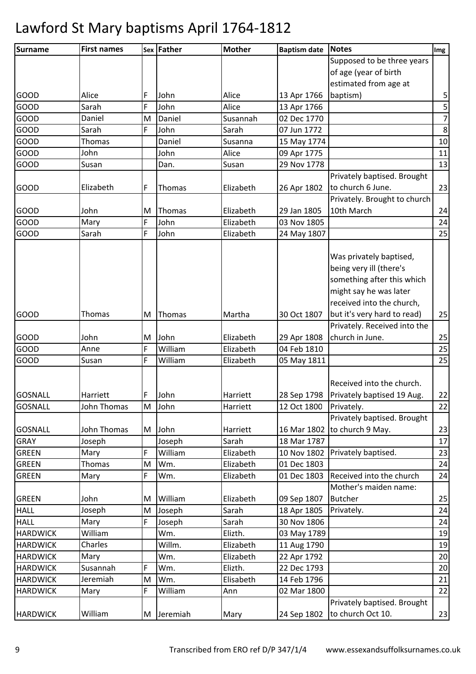| Surname         | <b>First names</b> |   | <b>Sex Father</b> | <b>Mother</b> | <b>Baptism date</b> | <b>Notes</b>                 | Img              |
|-----------------|--------------------|---|-------------------|---------------|---------------------|------------------------------|------------------|
|                 |                    |   |                   |               |                     | Supposed to be three years   |                  |
|                 |                    |   |                   |               |                     | of age (year of birth        |                  |
|                 |                    |   |                   |               |                     | estimated from age at        |                  |
| <b>GOOD</b>     | Alice              | F | John              | Alice         | 13 Apr 1766         | baptism)                     | 5                |
| GOOD            | Sarah              | F | John              | Alice         | 13 Apr 1766         |                              | $\overline{5}$   |
| <b>GOOD</b>     | Daniel             | M | Daniel            | Susannah      | 02 Dec 1770         |                              | $\boldsymbol{7}$ |
| GOOD            | Sarah              | F | John              | Sarah         | 07 Jun 1772         |                              | $\,8\,$          |
| GOOD            | Thomas             |   | Daniel            | Susanna       | 15 May 1774         |                              | 10               |
| GOOD            | John               |   | John              | Alice         | 09 Apr 1775         |                              | 11               |
| GOOD            | Susan              |   | Dan.              | Susan         | 29 Nov 1778         |                              | 13               |
|                 |                    |   |                   |               |                     | Privately baptised. Brought  |                  |
| <b>GOOD</b>     | Elizabeth          | F | Thomas            | Elizabeth     | 26 Apr 1802         | to church 6 June.            | 23               |
|                 |                    |   |                   |               |                     | Privately. Brought to church |                  |
| <b>GOOD</b>     | John               | M | Thomas            | Elizabeth     | 29 Jan 1805         | 10th March                   | 24               |
| GOOD            | Mary               | F | John              | Elizabeth     | 03 Nov 1805         |                              | 24               |
| GOOD            | Sarah              | F | John              | Elizabeth     | 24 May 1807         |                              | 25               |
|                 |                    |   |                   |               |                     |                              |                  |
|                 |                    |   |                   |               |                     | Was privately baptised,      |                  |
|                 |                    |   |                   |               |                     | being very ill (there's      |                  |
|                 |                    |   |                   |               |                     | something after this which   |                  |
|                 |                    |   |                   |               |                     | might say he was later       |                  |
|                 |                    |   |                   |               |                     | received into the church,    |                  |
| <b>GOOD</b>     | Thomas             | M | Thomas            | Martha        | 30 Oct 1807         | but it's very hard to read)  | 25               |
|                 |                    |   |                   |               |                     | Privately. Received into the |                  |
| GOOD            | John               | M | John              | Elizabeth     | 29 Apr 1808         | church in June.              | 25               |
| GOOD            | Anne               | F | William           | Elizabeth     | 04 Feb 1810         |                              | 25               |
| GOOD            | Susan              | F | William           | Elizabeth     | 05 May 1811         |                              | 25               |
|                 |                    |   |                   |               |                     |                              |                  |
|                 |                    |   |                   |               |                     | Received into the church.    |                  |
| GOSNALL         | Harriett           | F | John              | Harriett      | 28 Sep 1798         | Privately baptised 19 Aug.   | 22               |
| <b>GOSNALL</b>  | John Thomas        | M | John              | Harriett      | 12 Oct 1800         | Privately.                   | 22               |
|                 |                    |   |                   |               |                     | Privately baptised. Brought  |                  |
| <b>GOSNALL</b>  | John Thomas        |   | M John            | Harriett      |                     | 16 Mar 1802 to church 9 May. | 23               |
| <b>GRAY</b>     | Joseph             |   | Joseph            | Sarah         | 18 Mar 1787         |                              | 17               |
| <b>GREEN</b>    | Mary               | F | William           | Elizabeth     | 10 Nov 1802         | Privately baptised.          | 23               |
| <b>GREEN</b>    | <b>Thomas</b>      | M | Wm.               | Elizabeth     | 01 Dec 1803         |                              | 24               |
| <b>GREEN</b>    | Mary               | F | Wm.               | Elizabeth     | 01 Dec 1803         | Received into the church     | 24               |
|                 |                    |   |                   |               |                     | Mother's maiden name:        |                  |
| <b>GREEN</b>    | John               | M | William           | Elizabeth     | 09 Sep 1807         | <b>Butcher</b>               | 25               |
| <b>HALL</b>     | Joseph             | M | Joseph            | Sarah         | 18 Apr 1805         | Privately.                   | 24               |
| <b>HALL</b>     | Mary               | F | Joseph            | Sarah         | 30 Nov 1806         |                              | 24               |
| <b>HARDWICK</b> | William            |   | Wm.               | Elizth.       | 03 May 1789         |                              | 19               |
| <b>HARDWICK</b> | Charles            |   | Willm.            | Elizabeth     | 11 Aug 1790         |                              | 19               |
| <b>HARDWICK</b> | Mary               |   | Wm.               | Elizabeth     | 22 Apr 1792         |                              | 20               |
| <b>HARDWICK</b> | Susannah           | F | Wm.               | Elizth.       | 22 Dec 1793         |                              | 20               |
| <b>HARDWICK</b> | Jeremiah           | M | Wm.               | Elisabeth     | 14 Feb 1796         |                              | 21               |
| <b>HARDWICK</b> | Mary               | F | William           | Ann           | 02 Mar 1800         |                              | 22               |
|                 |                    |   |                   |               |                     | Privately baptised. Brought  |                  |
| <b>HARDWICK</b> | William            |   | M Jeremiah        | Mary          | 24 Sep 1802         | to church Oct 10.            | 23               |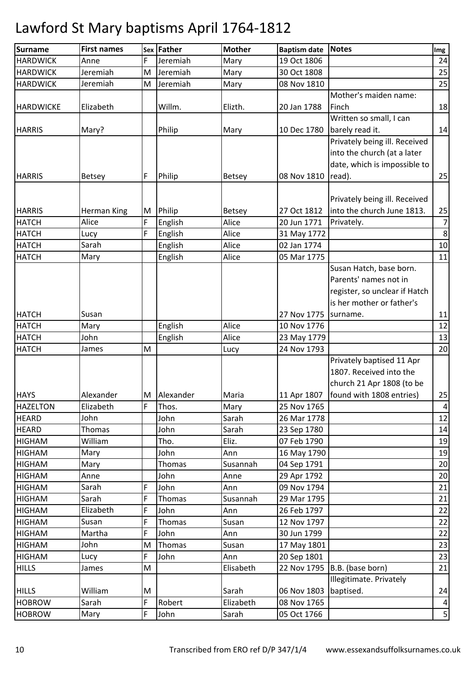| <b>Surname</b>   | <b>First names</b> |   | Sex Father  | <b>Mother</b> | <b>Baptism date</b>    | Notes                          | Img             |
|------------------|--------------------|---|-------------|---------------|------------------------|--------------------------------|-----------------|
| <b>HARDWICK</b>  | Anne               | F | Jeremiah    | Mary          | 19 Oct 1806            |                                | 24              |
| <b>HARDWICK</b>  | Jeremiah           | M | Jeremiah    | Mary          | 30 Oct 1808            |                                | 25              |
| <b>HARDWICK</b>  | Jeremiah           | M | Jeremiah    | Mary          | 08 Nov 1810            |                                | 25              |
|                  |                    |   |             |               |                        | Mother's maiden name:          |                 |
| <b>HARDWICKE</b> | Elizabeth          |   | Willm.      | Elizth.       | 20 Jan 1788            | Finch                          | 18              |
|                  |                    |   |             |               |                        | Written so small, I can        |                 |
| <b>HARRIS</b>    | Mary?              |   | Philip      | Mary          | 10 Dec 1780            | barely read it.                | 14              |
|                  |                    |   |             |               |                        | Privately being ill. Received  |                 |
|                  |                    |   |             |               |                        | into the church (at a later    |                 |
|                  |                    |   |             |               |                        | date, which is impossible to   |                 |
| <b>HARRIS</b>    | <b>Betsey</b>      | F | Philip      | <b>Betsey</b> | 08 Nov 1810            | read).                         | 25              |
|                  |                    |   |             |               |                        | Privately being ill. Received  |                 |
| <b>HARRIS</b>    | Herman King        | M | Philip      | Betsey        | 27 Oct 1812            | into the church June 1813.     | 25              |
| <b>HATCH</b>     | Alice              | F | English     | Alice         | 20 Jun 1771            | Privately.                     | $\overline{7}$  |
| <b>HATCH</b>     | Lucy               | F | English     | Alice         | 31 May 1772            |                                | $\bf 8$         |
| <b>HATCH</b>     | Sarah              |   | English     | Alice         | 02 Jan 1774            |                                | 10              |
| <b>HATCH</b>     | Mary               |   | English     | Alice         | 05 Mar 1775            |                                | 11              |
|                  |                    |   |             |               |                        | Susan Hatch, base born.        |                 |
|                  |                    |   |             |               |                        | Parents' names not in          |                 |
|                  |                    |   |             |               |                        | register, so unclear if Hatch  |                 |
|                  |                    |   |             |               |                        | is her mother or father's      |                 |
| <b>HATCH</b>     | Susan              |   |             |               | 27 Nov 1775   surname. |                                | 11              |
| <b>HATCH</b>     | Mary               |   | English     | Alice         | 10 Nov 1776            |                                | 12              |
| <b>HATCH</b>     | John               |   | English     | Alice         | 23 May 1779            |                                | 13              |
| <b>HATCH</b>     | James              | M |             | Lucy          | 24 Nov 1793            |                                | 20              |
|                  |                    |   |             |               |                        | Privately baptised 11 Apr      |                 |
|                  |                    |   |             |               |                        | 1807. Received into the        |                 |
|                  |                    |   |             |               |                        | church 21 Apr 1808 (to be      |                 |
| <b>HAYS</b>      | Alexander          |   | M Alexander | Maria         | 11 Apr 1807            | found with 1808 entries)       | 25              |
| <b>HAZELTON</b>  | Elizabeth          | F | Thos.       | Mary          | 25 Nov 1765            |                                | $\pmb{4}$       |
| <b>HEARD</b>     | John               |   | John        | Sarah         | 26 Mar 1778            |                                | 12              |
| <b>HEARD</b>     | Thomas             |   | John        | Sarah         | 23 Sep 1780            |                                | 14              |
| <b>HIGHAM</b>    | William            |   | Tho.        | Eliz.         | 07 Feb 1790            |                                | 19              |
| <b>HIGHAM</b>    | Mary               |   | John        | Ann           | 16 May 1790            |                                | 19              |
| <b>HIGHAM</b>    | Mary               |   | Thomas      | Susannah      | 04 Sep 1791            |                                | 20              |
| <b>HIGHAM</b>    | Anne               |   | John        | Anne          | 29 Apr 1792            |                                | 20              |
| <b>HIGHAM</b>    | Sarah              | F | John        | Ann           | 09 Nov 1794            |                                | 21              |
| <b>HIGHAM</b>    | Sarah              | F | Thomas      | Susannah      | 29 Mar 1795            |                                | 21              |
| <b>HIGHAM</b>    | Elizabeth          | F | John        | Ann           | 26 Feb 1797            |                                | 22              |
| <b>HIGHAM</b>    | Susan              | F | Thomas      | Susan         | 12 Nov 1797            |                                | 22              |
| <b>HIGHAM</b>    | Martha             | F | John        | Ann           | 30 Jun 1799            |                                | 22              |
| <b>HIGHAM</b>    | John               | M | Thomas      | Susan         | 17 May 1801            |                                | 23              |
| <b>HIGHAM</b>    | Lucy               | F | John        | Ann           | 20 Sep 1801            |                                | 23              |
| <b>HILLS</b>     | James              | M |             | Elisabeth     |                        | 22 Nov 1795   B.B. (base born) | 21              |
|                  |                    |   |             |               |                        | Illegitimate. Privately        |                 |
| <b>HILLS</b>     | William            | M |             | Sarah         | 06 Nov 1803            | baptised.                      | 24              |
| <b>HOBROW</b>    | Sarah              | F | Robert      | Elizabeth     | 08 Nov 1765            |                                | $\vert 4 \vert$ |
| <b>HOBROW</b>    | Mary               | F | John        | Sarah         | 05 Oct 1766            |                                | 5 <sup>1</sup>  |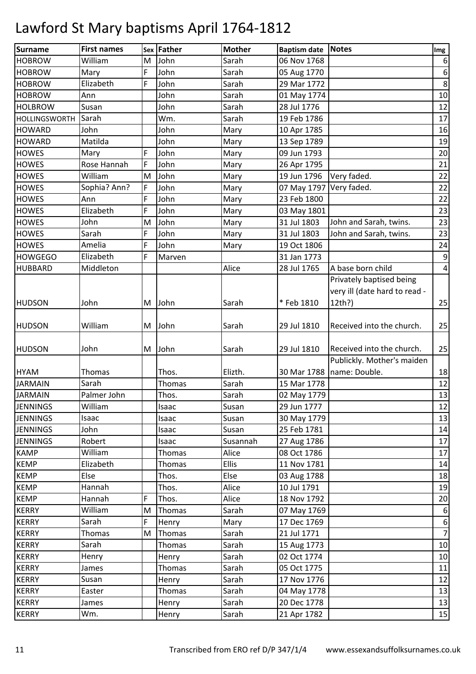| Surname              | <b>First names</b> | <b>Sex</b> | <b>Father</b> | <b>Mother</b> | Baptism date Notes      |                               | Img              |
|----------------------|--------------------|------------|---------------|---------------|-------------------------|-------------------------------|------------------|
| <b>HOBROW</b>        | William            | M          | John          | Sarah         | 06 Nov 1768             |                               | 6                |
| <b>HOBROW</b>        | Mary               | F          | John          | Sarah         | 05 Aug 1770             |                               | $\boldsymbol{6}$ |
| <b>HOBROW</b>        | Elizabeth          | F          | John          | Sarah         | 29 Mar 1772             |                               | $\bf 8$          |
| <b>HOBROW</b>        | Ann                |            | John          | Sarah         | 01 May 1774             |                               | $10\,$           |
| <b>HOLBROW</b>       | Susan              |            | John          | Sarah         | 28 Jul 1776             |                               | 12               |
| <b>HOLLINGSWORTH</b> | Sarah              |            | Wm.           | Sarah         | 19 Feb 1786             |                               | 17               |
| <b>HOWARD</b>        | John               |            | John          | Mary          | 10 Apr 1785             |                               | 16               |
| <b>HOWARD</b>        | Matilda            |            | John          | Mary          | 13 Sep 1789             |                               | 19               |
| <b>HOWES</b>         | Mary               | F          | John          | Mary          | 09 Jun 1793             |                               | 20               |
| <b>HOWES</b>         | Rose Hannah        | F          | John          | Mary          | 26 Apr 1795             |                               | 21               |
| <b>HOWES</b>         | William            | M          | John          | Mary          | 19 Jun 1796             | Very faded.                   | 22               |
| <b>HOWES</b>         | Sophia? Ann?       | F          | John          | Mary          | 07 May 1797 Very faded. |                               | 22               |
| <b>HOWES</b>         | Ann                | F          | John          | Mary          | 23 Feb 1800             |                               | 22               |
| <b>HOWES</b>         | Elizabeth          | F          | John          | Mary          | 03 May 1801             |                               | 23               |
| <b>HOWES</b>         | John               | M          | John          | Mary          | 31 Jul 1803             | John and Sarah, twins.        | 23               |
| <b>HOWES</b>         | Sarah              | F          | John          | Mary          | 31 Jul 1803             | John and Sarah, twins.        | 23               |
| <b>HOWES</b>         | Amelia             | F          | John          | Mary          | 19 Oct 1806             |                               | 24               |
| <b>HOWGEGO</b>       | Elizabeth          | F          | Marven        |               | 31 Jan 1773             |                               | $\boldsymbol{9}$ |
| <b>HUBBARD</b>       | Middleton          |            |               | Alice         | 28 Jul 1765             | A base born child             | $\vert 4 \vert$  |
|                      |                    |            |               |               |                         | Privately baptised being      |                  |
|                      |                    |            |               |               |                         | very ill (date hard to read - |                  |
| <b>HUDSON</b>        | John               | M          | John          | Sarah         | * Feb 1810              | 12th?)                        | 25               |
| <b>HUDSON</b>        | William            | M          | John          | Sarah         | 29 Jul 1810             | Received into the church.     | 25               |
|                      |                    |            |               |               |                         |                               |                  |
| <b>HUDSON</b>        | John               | M          | John          | Sarah         | 29 Jul 1810             | Received into the church.     | 25               |
|                      |                    |            |               |               |                         | Publickly. Mother's maiden    |                  |
| <b>HYAM</b>          | Thomas             |            | Thos.         | Elizth.       |                         | 30 Mar 1788   name: Double.   | 18               |
| <b>JARMAIN</b>       | Sarah              |            | Thomas        | Sarah         | 15 Mar 1778             |                               | 12               |
| <b>JARMAIN</b>       | Palmer John        |            | Thos.         | Sarah         | 02 May 1779             |                               | 13               |
| <b>JENNINGS</b>      | William            |            | Isaac         | Susan         | 29 Jun 1777             |                               | 12               |
| <b>JENNINGS</b>      | Isaac              |            | Isaac         | Susan         | 30 May 1779             |                               | 13               |
| <b>JENNINGS</b>      | John               |            | Isaac         | Susan         | 25 Feb 1781             |                               | 14               |
| <b>JENNINGS</b>      | Robert             |            | Isaac         | Susannah      | 27 Aug 1786             |                               | 17               |
| <b>KAMP</b>          | William            |            | Thomas        | Alice         | 08 Oct 1786             |                               | 17               |
| <b>KEMP</b>          | Elizabeth          |            | Thomas        | <b>Ellis</b>  | 11 Nov 1781             |                               | 14               |
| <b>KEMP</b>          | Else               |            | Thos.         | Else          | 03 Aug 1788             |                               | 18               |
| <b>KEMP</b>          | Hannah             |            | Thos.         | Alice         | 10 Jul 1791             |                               | 19               |
| <b>KEMP</b>          | Hannah             | F          | Thos.         | Alice         | 18 Nov 1792             |                               | 20               |
| <b>KERRY</b>         | William            | M          | Thomas        | Sarah         | 07 May 1769             |                               | 6                |
| <b>KERRY</b>         | Sarah              | F          | Henry         | Mary          | 17 Dec 1769             |                               | 6                |
| <b>KERRY</b>         | Thomas             | M          | Thomas        | Sarah         | 21 Jul 1771             |                               | $\overline{7}$   |
| <b>KERRY</b>         | Sarah              |            | Thomas        | Sarah         | 15 Aug 1773             |                               | 10               |
| <b>KERRY</b>         | Henry              |            | Henry         | Sarah         | 02 Oct 1774             |                               | 10               |
| <b>KERRY</b>         | James              |            | Thomas        | Sarah         | 05 Oct 1775             |                               | 11               |
| <b>KERRY</b>         | Susan              |            | Henry         | Sarah         | 17 Nov 1776             |                               | 12               |
| <b>KERRY</b>         | Easter             |            | Thomas        | Sarah         | 04 May 1778             |                               | 13               |
| <b>KERRY</b>         | James              |            | Henry         | Sarah         | 20 Dec 1778             |                               | 13               |
| <b>KERRY</b>         | Wm.                |            | Henry         | Sarah         | 21 Apr 1782             |                               | 15               |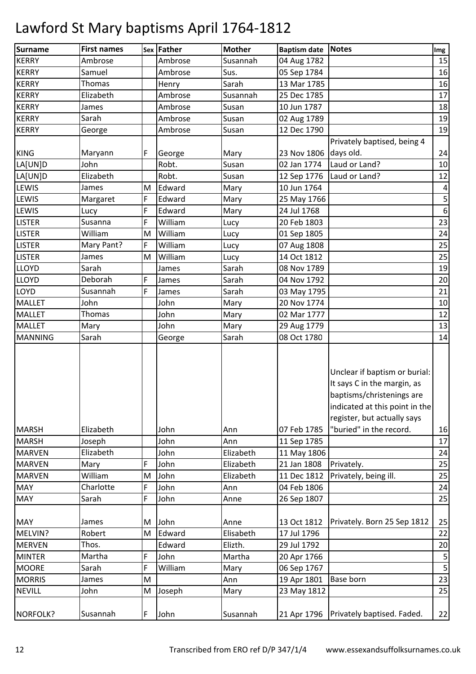| <b>Surname</b> | <b>First names</b> |   | Sex Father | <b>Mother</b> | Baptism date Notes |                                                                                                                                                            | Img                     |
|----------------|--------------------|---|------------|---------------|--------------------|------------------------------------------------------------------------------------------------------------------------------------------------------------|-------------------------|
| <b>KERRY</b>   | Ambrose            |   | Ambrose    | Susannah      | 04 Aug 1782        |                                                                                                                                                            | 15                      |
| <b>KERRY</b>   | Samuel             |   | Ambrose    | Sus.          | 05 Sep 1784        |                                                                                                                                                            | 16                      |
| <b>KERRY</b>   | Thomas             |   | Henry      | Sarah         | 13 Mar 1785        |                                                                                                                                                            | 16                      |
| <b>KERRY</b>   | Elizabeth          |   | Ambrose    | Susannah      | 25 Dec 1785        |                                                                                                                                                            | 17                      |
| <b>KERRY</b>   | James              |   | Ambrose    | Susan         | 10 Jun 1787        |                                                                                                                                                            | 18                      |
| <b>KERRY</b>   | Sarah              |   | Ambrose    | Susan         | 02 Aug 1789        |                                                                                                                                                            | 19                      |
| <b>KERRY</b>   | George             |   | Ambrose    | Susan         | 12 Dec 1790        |                                                                                                                                                            | 19                      |
|                |                    |   |            |               |                    | Privately baptised, being 4                                                                                                                                |                         |
| <b>KING</b>    | Maryann            | F | George     | Mary          | 23 Nov 1806        | days old.                                                                                                                                                  | 24                      |
| LA[UN]D        | John               |   | Robt.      | Susan         | 02 Jan 1774        | Laud or Land?                                                                                                                                              | 10                      |
| LA[UN]D        | Elizabeth          |   | Robt.      | Susan         | 12 Sep 1776        | Laud or Land?                                                                                                                                              | 12                      |
| <b>LEWIS</b>   | James              | M | Edward     | Mary          | 10 Jun 1764        |                                                                                                                                                            | 4                       |
| LEWIS          | Margaret           | F | Edward     | Mary          | 25 May 1766        |                                                                                                                                                            | 5 <sup>1</sup>          |
| <b>LEWIS</b>   | Lucy               | F | Edward     | Mary          | 24 Jul 1768        |                                                                                                                                                            | 6                       |
| <b>LISTER</b>  | Susanna            | F | William    | Lucy          | 20 Feb 1803        |                                                                                                                                                            | 23                      |
| <b>LISTER</b>  | William            | M | William    | Lucy          | 01 Sep 1805        |                                                                                                                                                            | 24                      |
| <b>LISTER</b>  | Mary Pant?         | F | William    | Lucy          | 07 Aug 1808        |                                                                                                                                                            | 25                      |
| <b>LISTER</b>  | James              | M | William    | Lucy          | 14 Oct 1812        |                                                                                                                                                            | 25                      |
| <b>LLOYD</b>   | Sarah              |   | James      | Sarah         | 08 Nov 1789        |                                                                                                                                                            | 19                      |
| <b>LLOYD</b>   | Deborah            | F | James      | Sarah         | 04 Nov 1792        |                                                                                                                                                            | 20                      |
| LOYD           | Susannah           | F | James      | Sarah         | 03 May 1795        |                                                                                                                                                            | 21                      |
| <b>MALLET</b>  | John               |   | John       | Mary          | 20 Nov 1774        |                                                                                                                                                            | 10                      |
| <b>MALLET</b>  | Thomas             |   | John       | Mary          | 02 Mar 1777        |                                                                                                                                                            | 12                      |
| <b>MALLET</b>  | Mary               |   | John       | Mary          | 29 Aug 1779        |                                                                                                                                                            | 13                      |
| <b>MANNING</b> | Sarah              |   | George     | Sarah         | 08 Oct 1780        |                                                                                                                                                            | 14                      |
|                |                    |   |            |               |                    | Unclear if baptism or burial:<br>It says C in the margin, as<br>baptisms/christenings are<br>indicated at this point in the<br>register, but actually says |                         |
| <b>MARSH</b>   | Elizabeth          |   | John       | Ann           | 07 Feb 1785        | "buried" in the record.                                                                                                                                    | 16                      |
| <b>MARSH</b>   | Joseph             |   | John       | Ann           | 11 Sep 1785        |                                                                                                                                                            | 17                      |
| <b>MARVEN</b>  | Elizabeth          |   | John       | Elizabeth     | 11 May 1806        |                                                                                                                                                            | 24                      |
| <b>MARVEN</b>  | Mary               | F | John       | Elizabeth     | 21 Jan 1808        | Privately.                                                                                                                                                 | 25                      |
| <b>MARVEN</b>  | William            | M | John       | Elizabeth     | 11 Dec 1812        | Privately, being ill.                                                                                                                                      | 25                      |
| <b>MAY</b>     | Charlotte          | F | John       | Ann           | 04 Feb 1806        |                                                                                                                                                            | 24                      |
| <b>MAY</b>     | Sarah              | F | John       | Anne          | 26 Sep 1807        |                                                                                                                                                            | 25                      |
| <b>MAY</b>     | James              | M | John       | Anne          | 13 Oct 1812        | Privately. Born 25 Sep 1812                                                                                                                                | 25                      |
| MELVIN?        | Robert             | M | Edward     | Elisabeth     | 17 Jul 1796        |                                                                                                                                                            | 22                      |
| <b>MERVEN</b>  | Thos.              |   | Edward     | Elizth.       | 29 Jul 1792        |                                                                                                                                                            | 20                      |
| <b>MINTER</b>  | Martha             | F | John       | Martha        | 20 Apr 1766        |                                                                                                                                                            | $\overline{\mathbf{5}}$ |
| <b>MOORE</b>   | Sarah              | F | William    | Mary          | 06 Sep 1767        |                                                                                                                                                            | 5 <sup>1</sup>          |
| <b>MORRIS</b>  | James              | M |            | Ann           | 19 Apr 1801        | <b>Base born</b>                                                                                                                                           | 23                      |
| <b>NEVILL</b>  | John               | M | Joseph     | Mary          | 23 May 1812        |                                                                                                                                                            | 25                      |
| NORFOLK?       | Susannah           | F | John       | Susannah      | 21 Apr 1796        | Privately baptised. Faded.                                                                                                                                 | 22                      |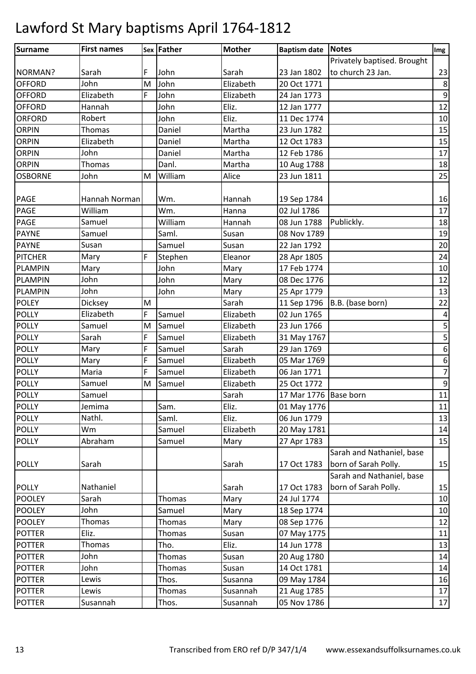| Surname        | <b>First names</b> |   | Sex Father | <b>Mother</b> | Baptism date Notes    |                                | Img                     |
|----------------|--------------------|---|------------|---------------|-----------------------|--------------------------------|-------------------------|
|                |                    |   |            |               |                       | Privately baptised. Brought    |                         |
| NORMAN?        | Sarah              | F | John       | Sarah         | 23 Jan 1802           | to church 23 Jan.              | 23                      |
| <b>OFFORD</b>  | John               | M | John       | Elizabeth     | 20 Oct 1771           |                                | $\bf 8$                 |
| <b>OFFORD</b>  | Elizabeth          | F | John       | Elizabeth     | 24 Jan 1773           |                                | $\boldsymbol{9}$        |
| <b>OFFORD</b>  | Hannah             |   | John       | Eliz.         | 12 Jan 1777           |                                | 12                      |
| <b>ORFORD</b>  | Robert             |   | John       | Eliz.         | 11 Dec 1774           |                                | 10                      |
| <b>ORPIN</b>   | Thomas             |   | Daniel     | Martha        | 23 Jun 1782           |                                | 15                      |
| <b>ORPIN</b>   | Elizabeth          |   | Daniel     | Martha        | 12 Oct 1783           |                                | 15                      |
| <b>ORPIN</b>   | John               |   | Daniel     | Martha        | 12 Feb 1786           |                                | 17                      |
| <b>ORPIN</b>   | Thomas             |   | Danl.      | Martha        | 10 Aug 1788           |                                | 18                      |
| <b>OSBORNE</b> | John               | M | William    | Alice         | 23 Jun 1811           |                                | 25                      |
|                |                    |   |            |               |                       |                                |                         |
| <b>PAGE</b>    | Hannah Norman      |   | Wm.        | Hannah        | 19 Sep 1784           |                                | 16                      |
| <b>PAGE</b>    | William            |   | Wm.        | Hanna         | 02 Jul 1786           |                                | 17                      |
| <b>PAGE</b>    | Samuel             |   | William    | Hannah        | 08 Jun 1788           | Publickly.                     | 18                      |
| <b>PAYNE</b>   | Samuel             |   | Saml.      | Susan         | 08 Nov 1789           |                                | 19                      |
| <b>PAYNE</b>   | Susan              |   | Samuel     | Susan         | 22 Jan 1792           |                                | 20                      |
| <b>PITCHER</b> | Mary               | F | Stephen    | Eleanor       | 28 Apr 1805           |                                | 24                      |
| <b>PLAMPIN</b> | Mary               |   | John       | Mary          | 17 Feb 1774           |                                | 10                      |
| <b>PLAMPIN</b> | John               |   | John       | Mary          | 08 Dec 1776           |                                | 12                      |
| <b>PLAMPIN</b> | John               |   | John       | Mary          | 25 Apr 1779           |                                | 13                      |
| <b>POLEY</b>   | Dicksey            | M |            | Sarah         |                       | 11 Sep 1796   B.B. (base born) | 22                      |
| <b>POLLY</b>   | Elizabeth          | F | Samuel     | Elizabeth     | 02 Jun 1765           |                                | 4                       |
| <b>POLLY</b>   | Samuel             | M | Samuel     | Elizabeth     | 23 Jun 1766           |                                | 5                       |
| <b>POLLY</b>   | Sarah              | F | Samuel     | Elizabeth     | 31 May 1767           |                                | $\overline{\mathbf{5}}$ |
| <b>POLLY</b>   | Mary               | F | Samuel     | Sarah         | 29 Jan 1769           |                                | $\boldsymbol{6}$        |
| <b>POLLY</b>   | Mary               | F | Samuel     | Elizabeth     | 05 Mar 1769           |                                | $\boldsymbol{6}$        |
| <b>POLLY</b>   | Maria              | F | Samuel     | Elizabeth     | 06 Jan 1771           |                                | $\overline{7}$          |
| <b>POLLY</b>   | Samuel             | M | Samuel     | Elizabeth     | 25 Oct 1772           |                                | $\boldsymbol{9}$        |
| <b>POLLY</b>   | Samuel             |   |            | Sarah         | 17 Mar 1776 Base born |                                | 11                      |
| <b>POLLY</b>   | Jemima             |   | Sam.       | Eliz.         | 01 May 1776           |                                | 11                      |
| <b>POLLY</b>   | Nathl.             |   | Saml.      | Eliz.         | 06 Jun 1779           |                                | 13                      |
| <b>POLLY</b>   | Wm                 |   | Samuel     | Elizabeth     | 20 May 1781           |                                | 14                      |
| <b>POLLY</b>   | Abraham            |   | Samuel     | Mary          | 27 Apr 1783           |                                | 15                      |
|                |                    |   |            |               |                       | Sarah and Nathaniel, base      |                         |
| <b>POLLY</b>   | Sarah              |   |            | Sarah         | 17 Oct 1783           | born of Sarah Polly.           | 15                      |
|                |                    |   |            |               |                       | Sarah and Nathaniel, base      |                         |
| <b>POLLY</b>   | Nathaniel          |   |            | Sarah         | 17 Oct 1783           | born of Sarah Polly.           | 15                      |
| <b>POOLEY</b>  | Sarah              |   | Thomas     | Mary          | 24 Jul 1774           |                                | 10                      |
| <b>POOLEY</b>  | John               |   | Samuel     | Mary          | 18 Sep 1774           |                                | 10                      |
| <b>POOLEY</b>  | Thomas             |   | Thomas     | Mary          | 08 Sep 1776           |                                | 12                      |
| <b>POTTER</b>  | Eliz.              |   | Thomas     | Susan         | 07 May 1775           |                                | 11                      |
| <b>POTTER</b>  | Thomas             |   | Tho.       | Eliz.         | 14 Jun 1778           |                                | 13                      |
| <b>POTTER</b>  | John               |   | Thomas     | Susan         | 20 Aug 1780           |                                | 14                      |
| <b>POTTER</b>  | John               |   | Thomas     | Susan         | 14 Oct 1781           |                                | 14                      |
| <b>POTTER</b>  | Lewis              |   | Thos.      | Susanna       | 09 May 1784           |                                | 16                      |
| <b>POTTER</b>  | Lewis              |   | Thomas     | Susannah      | 21 Aug 1785           |                                | 17                      |
| <b>POTTER</b>  | Susannah           |   | Thos.      | Susannah      | 05 Nov 1786           |                                | $17\,$                  |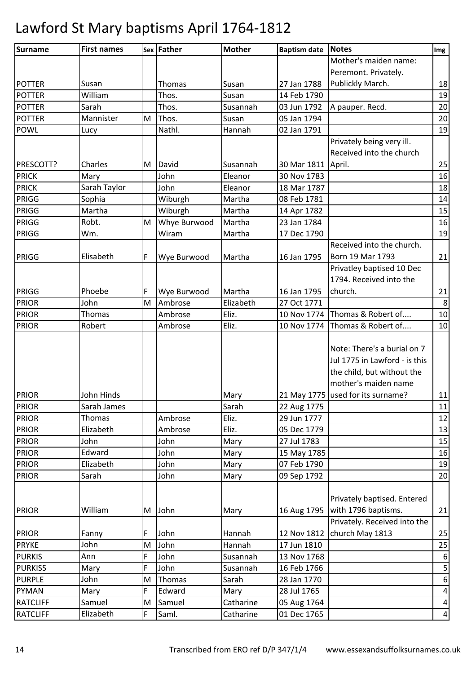| <b>Surname</b>  | <b>First names</b> |   | Sex Father   | <b>Mother</b> | <b>Baptism date</b> | Notes                             | Img             |
|-----------------|--------------------|---|--------------|---------------|---------------------|-----------------------------------|-----------------|
|                 |                    |   |              |               |                     | Mother's maiden name:             |                 |
|                 |                    |   |              |               |                     | Peremont. Privately.              |                 |
| <b>POTTER</b>   | Susan              |   | Thomas       | Susan         | 27 Jan 1788         | Publickly March.                  | 18              |
| <b>POTTER</b>   | William            |   | Thos.        | Susan         | 14 Feb 1790         |                                   | 19              |
| <b>POTTER</b>   | Sarah              |   | Thos.        | Susannah      | 03 Jun 1792         | A pauper. Recd.                   | 20              |
| <b>POTTER</b>   | Mannister          | M | Thos.        | Susan         | 05 Jan 1794         |                                   | 20              |
| <b>POWL</b>     | Lucy               |   | Nathl.       | Hannah        | 02 Jan 1791         |                                   | 19              |
|                 |                    |   |              |               |                     | Privately being very ill.         |                 |
|                 |                    |   |              |               |                     | Received into the church          |                 |
| PRESCOTT?       | Charles            | M | David        | Susannah      | 30 Mar 1811 April.  |                                   | 25              |
| <b>PRICK</b>    | Mary               |   | John         | Eleanor       | 30 Nov 1783         |                                   | 16              |
| <b>PRICK</b>    | Sarah Taylor       |   | John         | Eleanor       | 18 Mar 1787         |                                   | 18              |
| PRIGG           | Sophia             |   | Wiburgh      | Martha        | 08 Feb 1781         |                                   | 14              |
| PRIGG           | Martha             |   | Wiburgh      | Martha        | 14 Apr 1782         |                                   | 15              |
| PRIGG           | Robt.              | M | Whye Burwood | Martha        | 23 Jan 1784         |                                   | 16              |
| PRIGG           | Wm.                |   | Wiram        | Martha        | 17 Dec 1790         |                                   | 19              |
|                 |                    |   |              |               |                     | Received into the church.         |                 |
| PRIGG           | Elisabeth          | F | Wye Burwood  | Martha        | 16 Jan 1795         | Born 19 Mar 1793                  | 21              |
|                 |                    |   |              |               |                     | Privatley baptised 10 Dec         |                 |
|                 |                    |   |              |               |                     | 1794. Received into the           |                 |
| PRIGG           | Phoebe             | F | Wye Burwood  | Martha        | 16 Jan 1795         | church.                           | 21              |
| <b>PRIOR</b>    | John               | M | Ambrose      | Elizabeth     | 27 Oct 1771         |                                   | $\bf 8$         |
| <b>PRIOR</b>    | Thomas             |   | Ambrose      | Eliz.         | 10 Nov 1774         | Thomas & Robert of                | 10              |
| <b>PRIOR</b>    | Robert             |   | Ambrose      | Eliz.         | 10 Nov 1774         | Thomas & Robert of                | 10              |
|                 |                    |   |              |               |                     |                                   |                 |
|                 |                    |   |              |               |                     | Note: There's a burial on 7       |                 |
|                 |                    |   |              |               |                     | Jul 1775 in Lawford - is this     |                 |
|                 |                    |   |              |               |                     | the child, but without the        |                 |
|                 |                    |   |              |               |                     | mother's maiden name              |                 |
| <b>PRIOR</b>    | John Hinds         |   |              | Mary          |                     | 21 May 1775 used for its surname? | 11              |
| <b>PRIOR</b>    | Sarah James        |   |              | Sarah         | 22 Aug 1775         |                                   | 11              |
| <b>PRIOR</b>    | Thomas             |   | Ambrose      | Eliz.         | 29 Jun 1777         |                                   | 12              |
| <b>PRIOR</b>    | Elizabeth          |   | Ambrose      | Eliz.         | 05 Dec 1779         |                                   | 13              |
| <b>PRIOR</b>    | John               |   | John         | Mary          | 27 Jul 1783         |                                   | 15              |
| <b>PRIOR</b>    | Edward             |   | John         | Mary          | 15 May 1785         |                                   | 16              |
| <b>PRIOR</b>    | Elizabeth          |   | John         | Mary          | 07 Feb 1790         |                                   | 19              |
| <b>PRIOR</b>    | Sarah              |   | John         | Mary          | 09 Sep 1792         |                                   | 20              |
|                 |                    |   |              |               |                     |                                   |                 |
|                 |                    |   |              |               |                     | Privately baptised. Entered       |                 |
| <b>PRIOR</b>    | William            | M | John         | Mary          | 16 Aug 1795         | with 1796 baptisms.               | 21              |
|                 |                    |   |              |               |                     | Privately. Received into the      |                 |
| <b>PRIOR</b>    | Fanny              | F | John         | Hannah        | 12 Nov 1812         | church May 1813                   | 25              |
| <b>PRYKE</b>    | John               | M | John         | Hannah        | 17 Jun 1810         |                                   | 25              |
| <b>PURKIS</b>   | Ann                | F | John         | Susannah      | 13 Nov 1768         |                                   | 6               |
| <b>PURKISS</b>  | Mary               | F | John         | Susannah      | 16 Feb 1766         |                                   | 5               |
| <b>PURPLE</b>   | John               | M | Thomas       | Sarah         | 28 Jan 1770         |                                   | 6               |
| <b>PYMAN</b>    | Mary               | F | Edward       | Mary          | 28 Jul 1765         |                                   | $\pmb{4}$       |
| <b>RATCLIFF</b> | Samuel             | M | Samuel       | Catharine     | 05 Aug 1764         |                                   | $\vert 4 \vert$ |
| <b>RATCLIFF</b> | Elizabeth          | F | Saml.        | Catharine     | 01 Dec 1765         |                                   | $\vert 4 \vert$ |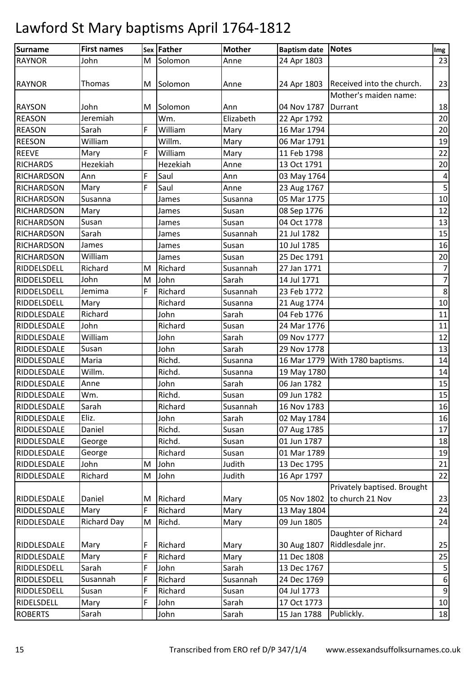| <b>Surname</b>    | <b>First names</b> |   | Sex Father | <b>Mother</b> | Baptism date Notes  |                                                 | Img                     |
|-------------------|--------------------|---|------------|---------------|---------------------|-------------------------------------------------|-------------------------|
| <b>RAYNOR</b>     | John               | M | Solomon    | Anne          | 24 Apr 1803         |                                                 | 23                      |
| <b>RAYNOR</b>     | Thomas             | M | Solomon    | Anne          |                     | 24 Apr 1803   Received into the church.         | 23                      |
|                   |                    |   |            |               |                     | Mother's maiden name:                           |                         |
| <b>RAYSON</b>     | John               | M | Solomon    | Ann           | 04 Nov 1787 Durrant |                                                 | 18                      |
| <b>REASON</b>     | Jeremiah           |   | Wm.        | Elizabeth     | 22 Apr 1792         |                                                 | 20                      |
| <b>REASON</b>     | Sarah              | F | William    | Mary          | 16 Mar 1794         |                                                 | 20                      |
| <b>REESON</b>     | William            |   | Willm.     | Mary          | 06 Mar 1791         |                                                 | 19                      |
| <b>REEVE</b>      | Mary               | F | William    | Mary          | 11 Feb 1798         |                                                 | 22                      |
| <b>RICHARDS</b>   | Hezekiah           |   | Hezekiah   | Anne          | 13 Oct 1791         |                                                 | 20                      |
| <b>RICHARDSON</b> | Ann                | F | Saul       | Ann           | 03 May 1764         |                                                 | 4                       |
| <b>RICHARDSON</b> | Mary               | F | Saul       | Anne          | 23 Aug 1767         |                                                 | $\overline{\mathbf{5}}$ |
| <b>RICHARDSON</b> | Susanna            |   | James      | Susanna       | 05 Mar 1775         |                                                 | 10                      |
| <b>RICHARDSON</b> | Mary               |   | James      | Susan         | 08 Sep 1776         |                                                 | 12                      |
| <b>RICHARDSON</b> | Susan              |   | James      | Susan         | 04 Oct 1778         |                                                 | 13                      |
| <b>RICHARDSON</b> | Sarah              |   | James      | Susannah      | 21 Jul 1782         |                                                 | 15                      |
| <b>RICHARDSON</b> | James              |   | James      | Susan         | 10 Jul 1785         |                                                 | 16                      |
| <b>RICHARDSON</b> | William            |   | James      | Susan         | 25 Dec 1791         |                                                 | 20                      |
| RIDDELSDELL       | Richard            | M | Richard    | Susannah      | 27 Jan 1771         |                                                 | $\overline{7}$          |
| RIDDELSDELL       | John               | M | John       | Sarah         | 14 Jul 1771         |                                                 | $\overline{7}$          |
| RIDDELSDELL       | Jemima             | F | Richard    | Susannah      | 23 Feb 1772         |                                                 | $\bf 8$                 |
| RIDDELSDELL       | Mary               |   | Richard    | Susanna       | 21 Aug 1774         |                                                 | 10                      |
| RIDDLESDALE       | Richard            |   | John       | Sarah         | 04 Feb 1776         |                                                 | 11                      |
| RIDDLESDALE       | John               |   | Richard    | Susan         | 24 Mar 1776         |                                                 | 11                      |
| RIDDLESDALE       | William            |   | John       | Sarah         | 09 Nov 1777         |                                                 | 12                      |
| RIDDLESDALE       | Susan              |   | John       | Sarah         | 29 Nov 1778         |                                                 | 13                      |
| RIDDLESDALE       | Maria              |   | Richd.     | Susanna       |                     | 16 Mar 1779 With 1780 baptisms.                 | 14                      |
| RIDDLESDALE       | Willm.             |   | Richd.     | Susanna       | 19 May 1780         |                                                 | 14                      |
| RIDDLESDALE       | Anne               |   | John       | Sarah         | 06 Jan 1782         |                                                 | 15                      |
| RIDDLESDALE       | Wm.                |   | Richd.     | Susan         | 09 Jun 1782         |                                                 | 15                      |
| RIDDLESDALE       | Sarah              |   | Richard    | Susannah      | 16 Nov 1783         |                                                 | 16                      |
| RIDDLESDALE       | Eliz.              |   | John       | Sarah         | 02 May 1784         |                                                 | 16                      |
| RIDDLESDALE       | Daniel             |   | Richd.     | Susan         | 07 Aug 1785         |                                                 | 17                      |
| RIDDLESDALE       | George             |   | Richd.     | Susan         | 01 Jun 1787         |                                                 | 18                      |
| RIDDLESDALE       | George             |   | Richard    | Susan         | 01 Mar 1789         |                                                 | 19                      |
| RIDDLESDALE       | John               | M | John       | Judith        | 13 Dec 1795         |                                                 | 21                      |
| RIDDLESDALE       | Richard            | M | John       | Judith        | 16 Apr 1797         |                                                 | 22                      |
| RIDDLESDALE       | Daniel             | M | Richard    | Mary          | 05 Nov 1802         | Privately baptised. Brought<br>to church 21 Nov | 23                      |
| RIDDLESDALE       | Mary               | F | Richard    | Mary          | 13 May 1804         |                                                 | 24                      |
| RIDDLESDALE       | <b>Richard Day</b> | M | Richd.     | Mary          | 09 Jun 1805         |                                                 | 24                      |
|                   |                    |   |            |               |                     | Daughter of Richard                             |                         |
| RIDDLESDALE       | Mary               | F | Richard    | Mary          | 30 Aug 1807         | Riddlesdale jnr.                                | 25                      |
| RIDDLESDALE       | Mary               | F | Richard    | Mary          | 11 Dec 1808         |                                                 | 25                      |
| RIDDLESDELL       | Sarah              | F | John       | Sarah         | 13 Dec 1767         |                                                 | $\mathsf S$             |
| RIDDLESDELL       | Susannah           | F | Richard    | Susannah      | 24 Dec 1769         |                                                 | $\boldsymbol{6}$        |
| RIDDLESDELL       | Susan              | F | Richard    | Susan         | 04 Jul 1773         |                                                 | $\overline{9}$          |
| RIDELSDELL        | Mary               | F | John       | Sarah         | 17 Oct 1773         |                                                 | 10                      |
| <b>ROBERTS</b>    | Sarah              |   | John       | Sarah         | 15 Jan 1788         | Publickly.                                      | 18                      |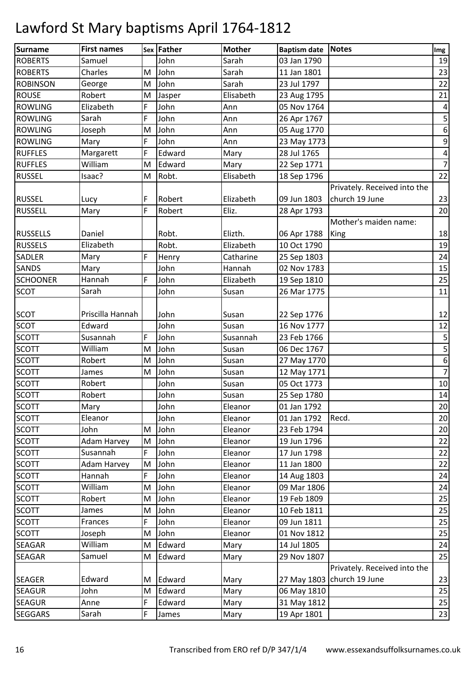| <b>Surname</b>  | <b>First names</b> |           | <b>Sex Father</b> | <b>Mother</b> | <b>Baptism date Notes</b> |                              | Img              |
|-----------------|--------------------|-----------|-------------------|---------------|---------------------------|------------------------------|------------------|
| <b>ROBERTS</b>  | Samuel             |           | John              | Sarah         | 03 Jan 1790               |                              | 19               |
| <b>ROBERTS</b>  | Charles            | M         | John              | Sarah         | 11 Jan 1801               |                              | 23               |
| <b>ROBINSON</b> | George             | M         | John              | Sarah         | 23 Jul 1797               |                              | 22               |
| <b>ROUSE</b>    | Robert             | M         | Jasper            | Elisabeth     | 23 Aug 1795               |                              | 21               |
| <b>ROWLING</b>  | Elizabeth          | F         | John              | Ann           | 05 Nov 1764               |                              | 4                |
| <b>ROWLING</b>  | Sarah              | F         | John              | Ann           | 26 Apr 1767               |                              | 5                |
| <b>ROWLING</b>  | Joseph             | ${\sf M}$ | John              | Ann           | 05 Aug 1770               |                              | $\boldsymbol{6}$ |
| <b>ROWLING</b>  | Mary               | F         | John              | Ann           | 23 May 1773               |                              | $\boldsymbol{9}$ |
| <b>RUFFLES</b>  | Margarett          | F         | Edward            | Mary          | 28 Jul 1765               |                              | $\pmb{4}$        |
| <b>RUFFLES</b>  | William            | M         | Edward            | Mary          | 22 Sep 1771               |                              | $\overline{7}$   |
| <b>RUSSEL</b>   | Isaac?             | M         | Robt.             | Elisabeth     | 18 Sep 1796               |                              | 22               |
|                 |                    |           |                   |               |                           | Privately. Received into the |                  |
| <b>RUSSEL</b>   | Lucy               | F         | Robert            | Elizabeth     | 09 Jun 1803               | church 19 June               | 23               |
| <b>RUSSELL</b>  | Mary               | F         | Robert            | Eliz.         | 28 Apr 1793               |                              | 20               |
|                 |                    |           |                   |               |                           | Mother's maiden name:        |                  |
| <b>RUSSELLS</b> | Daniel             |           | Robt.             | Elizth.       | 06 Apr 1788               | King                         | 18               |
| <b>RUSSELS</b>  | Elizabeth          |           | Robt.             | Elizabeth     | 10 Oct 1790               |                              | 19               |
| SADLER          | Mary               | F         | Henry             | Catharine     | 25 Sep 1803               |                              | 24               |
| <b>SANDS</b>    | Mary               |           | John              | Hannah        | 02 Nov 1783               |                              | 15               |
| <b>SCHOONER</b> | Hannah             | F         | John              | Elizabeth     | 19 Sep 1810               |                              | 25               |
| <b>SCOT</b>     | Sarah              |           | John              | Susan         | 26 Mar 1775               |                              | 11               |
|                 |                    |           |                   |               |                           |                              |                  |
| <b>SCOT</b>     | Priscilla Hannah   |           | John              | Susan         | 22 Sep 1776               |                              | 12               |
| <b>SCOT</b>     | Edward             |           | John              | Susan         | 16 Nov 1777               |                              | 12               |
| <b>SCOTT</b>    | Susannah           | F         | John              | Susannah      | 23 Feb 1766               |                              | $\mathsf S$      |
| <b>SCOTT</b>    | William            | M         | John              | Susan         | 06 Dec 1767               |                              | 5                |
| <b>SCOTT</b>    | Robert             | M         | John              | Susan         | 27 May 1770               |                              | $\overline{6}$   |
| <b>SCOTT</b>    | James              | M         | John              | Susan         | 12 May 1771               |                              | $\overline{7}$   |
| <b>SCOTT</b>    | Robert             |           | John              | Susan         | 05 Oct 1773               |                              | $10\,$           |
| <b>SCOTT</b>    | Robert             |           | John              | Susan         | 25 Sep 1780               |                              | 14               |
| <b>SCOTT</b>    | Mary               |           | John              | Eleanor       | 01 Jan 1792               |                              | 20               |
| <b>SCOTT</b>    | Eleanor            |           | John              | Eleanor       | 01 Jan 1792               | Recd.                        | 20               |
| <b>SCOTT</b>    | John               | M         | John              | Eleanor       | 23 Feb 1794               |                              | 20               |
| <b>SCOTT</b>    | <b>Adam Harvey</b> | M         | John              | Eleanor       | 19 Jun 1796               |                              | 22               |
| <b>SCOTT</b>    | Susannah           | F         | John              | Eleanor       | 17 Jun 1798               |                              | 22               |
| <b>SCOTT</b>    | <b>Adam Harvey</b> | M         | John              | Eleanor       | 11 Jan 1800               |                              | 22               |
| <b>SCOTT</b>    | Hannah             | F         | John              | Eleanor       | 14 Aug 1803               |                              | 24               |
| <b>SCOTT</b>    | William            | M         | John              | Eleanor       | 09 Mar 1806               |                              | 24               |
| <b>SCOTT</b>    | Robert             | M         | John              | Eleanor       | 19 Feb 1809               |                              | 25               |
| <b>SCOTT</b>    | James              | M         | John              | Eleanor       | 10 Feb 1811               |                              | 25               |
| <b>SCOTT</b>    | Frances            | F         | John              | Eleanor       | 09 Jun 1811               |                              | 25               |
| <b>SCOTT</b>    | Joseph             | M         | John              | Eleanor       | 01 Nov 1812               |                              | 25               |
| SEAGAR          | William            | M         | Edward            | Mary          | 14 Jul 1805               |                              | 24               |
| <b>SEAGAR</b>   | Samuel             | M         | Edward            | Mary          | 29 Nov 1807               |                              | 25               |
|                 |                    |           |                   |               |                           | Privately. Received into the |                  |
| <b>SEAGER</b>   | Edward             | M         | Edward            | Mary          |                           | 27 May 1803 church 19 June   | 23               |
| <b>SEAGUR</b>   | John               | M         | Edward            | Mary          | 06 May 1810               |                              | 25               |
| <b>SEAGUR</b>   | Anne               | F         | Edward            | Mary          | 31 May 1812               |                              | 25               |
| <b>SEGGARS</b>  | Sarah              | F         | James             | Mary          | 19 Apr 1801               |                              | 23               |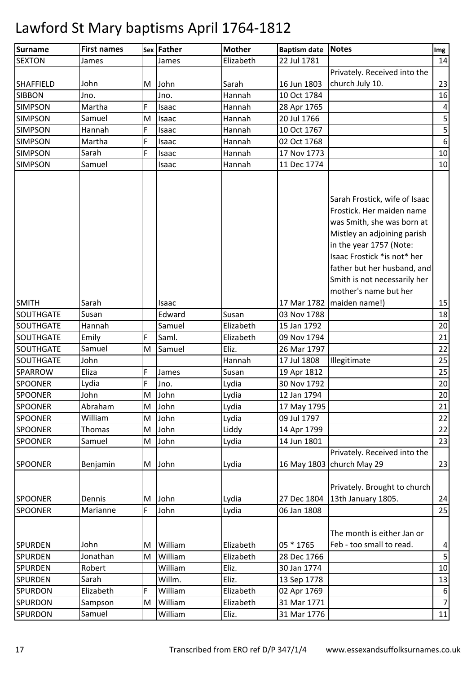| <b>Surname</b>   | <b>First names</b> |   | Sex Father | <b>Mother</b> | <b>Baptism date</b> | <b>Notes</b>                  | Img              |
|------------------|--------------------|---|------------|---------------|---------------------|-------------------------------|------------------|
| <b>SEXTON</b>    | James              |   | James      | Elizabeth     | 22 Jul 1781         |                               | 14               |
|                  |                    |   |            |               |                     | Privately. Received into the  |                  |
| <b>SHAFFIELD</b> | John               | M | John       | Sarah         | 16 Jun 1803         | church July 10.               | 23               |
| <b>SIBBON</b>    | Jno.               |   | Jno.       | Hannah        | 10 Oct 1784         |                               | 16               |
| <b>SIMPSON</b>   | Martha             | F | Isaac      | Hannah        | 28 Apr 1765         |                               | $\vert 4 \vert$  |
| <b>SIMPSON</b>   | Samuel             | M | Isaac      | Hannah        | 20 Jul 1766         |                               | 5                |
| <b>SIMPSON</b>   | Hannah             | F | Isaac      | Hannah        | 10 Oct 1767         |                               | $\overline{5}$   |
| <b>SIMPSON</b>   | Martha             | F | Isaac      | Hannah        | 02 Oct 1768         |                               | $\boldsymbol{6}$ |
| <b>SIMPSON</b>   | Sarah              | F | Isaac      | Hannah        | 17 Nov 1773         |                               | 10               |
| <b>SIMPSON</b>   | Samuel             |   | Isaac      | Hannah        | 11 Dec 1774         |                               | 10               |
|                  |                    |   |            |               |                     |                               |                  |
|                  |                    |   |            |               |                     |                               |                  |
|                  |                    |   |            |               |                     | Sarah Frostick, wife of Isaac |                  |
|                  |                    |   |            |               |                     | Frostick. Her maiden name     |                  |
|                  |                    |   |            |               |                     | was Smith, she was born at    |                  |
|                  |                    |   |            |               |                     | Mistley an adjoining parish   |                  |
|                  |                    |   |            |               |                     | in the year 1757 (Note:       |                  |
|                  |                    |   |            |               |                     | Isaac Frostick * is not* her  |                  |
|                  |                    |   |            |               |                     | father but her husband, and   |                  |
|                  |                    |   |            |               |                     | Smith is not necessarily her  |                  |
|                  |                    |   |            |               |                     | mother's name but her         |                  |
| <b>SMITH</b>     | Sarah              |   | Isaac      |               | 17 Mar 1782         | maiden name!)                 | 15               |
| SOUTHGATE        | Susan              |   | Edward     | Susan         | 03 Nov 1788         |                               | 18               |
| SOUTHGATE        | Hannah             |   | Samuel     | Elizabeth     | 15 Jan 1792         |                               | 20               |
| <b>SOUTHGATE</b> | Emily              | F | Saml.      | Elizabeth     | 09 Nov 1794         |                               | 21               |
| SOUTHGATE        | Samuel             | M | Samuel     | Eliz.         | 26 Mar 1797         |                               | 22               |
| <b>SOUTHGATE</b> | John               |   |            | Hannah        | 17 Jul 1808         | Illegitimate                  | 25               |
| <b>SPARROW</b>   | Eliza              | F | James      | Susan         | 19 Apr 1812         |                               | 25               |
| <b>SPOONER</b>   | Lydia              | F | Jno.       | Lydia         | 30 Nov 1792         |                               | 20               |
| <b>SPOONER</b>   | John               |   | M John     | Lydia         | 12 Jan 1794         |                               | 20               |
| <b>SPOONER</b>   | Abraham            | M | John       | Lydia         | 17 May 1795         |                               | 21               |
| <b>SPOONER</b>   | William            | M | John       | Lydia         | 09 Jul 1797         |                               | 22               |
| <b>SPOONER</b>   | Thomas             | M | John       | Liddy         | 14 Apr 1799         |                               | 22               |
| <b>SPOONER</b>   | Samuel             | M | John       | Lydia         | 14 Jun 1801         |                               | 23               |
|                  |                    |   |            |               |                     | Privately. Received into the  |                  |
| <b>SPOONER</b>   | Benjamin           |   | M John     | Lydia         |                     | 16 May 1803   church May 29   | 23               |
|                  |                    |   |            |               |                     |                               |                  |
|                  |                    |   |            |               |                     | Privately. Brought to church  |                  |
| <b>SPOONER</b>   | Dennis             | M | John       | Lydia         | 27 Dec 1804         | 13th January 1805.            | 24               |
| <b>SPOONER</b>   | Marianne           | F | John       | Lydia         | 06 Jan 1808         |                               | 25               |
|                  |                    |   |            |               |                     |                               |                  |
|                  |                    |   |            |               |                     | The month is either Jan or    |                  |
| <b>SPURDEN</b>   | John               | M | William    | Elizabeth     | 05 * 1765           | Feb - too small to read.      | 4                |
| <b>SPURDEN</b>   | Jonathan           | M | William    | Elizabeth     | 28 Dec 1766         |                               | 5 <sup>1</sup>   |
| <b>SPURDEN</b>   | Robert             |   | William    | Eliz.         | 30 Jan 1774         |                               | 10               |
| <b>SPURDEN</b>   | Sarah              |   | Willm.     | Eliz.         | 13 Sep 1778         |                               | 13               |
| <b>SPURDON</b>   | Elizabeth          | F | William    | Elizabeth     | 02 Apr 1769         |                               | $6 \mid$         |
| <b>SPURDON</b>   | Sampson            | M | William    | Elizabeth     | 31 Mar 1771         |                               | 7                |
| <b>SPURDON</b>   |                    |   | William    |               | 31 Mar 1776         |                               |                  |
|                  | Samuel             |   |            | Eliz.         |                     |                               | 11               |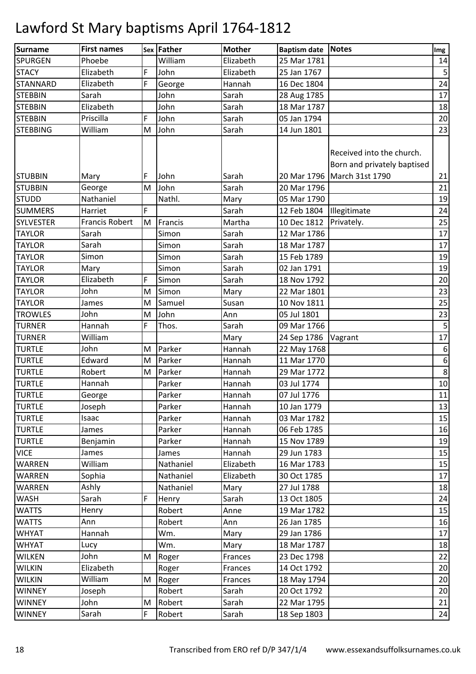| <b>Surname</b>   | <b>First names</b>    |   | Sex Father | <b>Mother</b> | <b>Baptism date</b> | <b>Notes</b>                                                                              | Img                     |
|------------------|-----------------------|---|------------|---------------|---------------------|-------------------------------------------------------------------------------------------|-------------------------|
| <b>SPURGEN</b>   | Phoebe                |   | William    | Elizabeth     | 25 Mar 1781         |                                                                                           | 14                      |
| <b>STACY</b>     | Elizabeth             | F | John       | Elizabeth     | 25 Jan 1767         |                                                                                           | $\overline{\mathbf{5}}$ |
| <b>STANNARD</b>  | Elizabeth             | F | George     | Hannah        | 16 Dec 1804         |                                                                                           | 24                      |
| <b>STEBBIN</b>   | Sarah                 |   | John       | Sarah         | 28 Aug 1785         |                                                                                           | 17                      |
| <b>STEBBIN</b>   | Elizabeth             |   | John       | Sarah         | 18 Mar 1787         |                                                                                           | 18                      |
| <b>STEBBIN</b>   | Priscilla             | F | John       | Sarah         | 05 Jan 1794         |                                                                                           | 20                      |
| <b>STEBBING</b>  | William               | M | John       | Sarah         | 14 Jun 1801         |                                                                                           | 23                      |
| <b>STUBBIN</b>   | Mary                  | F | John       | Sarah         |                     | Received into the church.<br>Born and privately baptised<br>20 Mar 1796   March 31st 1790 | 21                      |
| <b>STUBBIN</b>   | George                | M | John       | Sarah         | 20 Mar 1796         |                                                                                           | 21                      |
| <b>STUDD</b>     | Nathaniel             |   | Nathl.     | Mary          | 05 Mar 1790         |                                                                                           | 19                      |
| <b>SUMMERS</b>   | Harriet               | F |            | Sarah         | 12 Feb 1804         | Illegitimate                                                                              | 24                      |
| <b>SYLVESTER</b> | <b>Francis Robert</b> | M | Francis    | Martha        | 10 Dec 1812         | Privately.                                                                                | 25                      |
| <b>TAYLOR</b>    | Sarah                 |   | Simon      | Sarah         | 12 Mar 1786         |                                                                                           | 17                      |
| <b>TAYLOR</b>    | Sarah                 |   | Simon      | Sarah         | 18 Mar 1787         |                                                                                           | 17                      |
| <b>TAYLOR</b>    | Simon                 |   | Simon      | Sarah         | 15 Feb 1789         |                                                                                           | 19                      |
| <b>TAYLOR</b>    | Mary                  |   | Simon      | Sarah         | 02 Jan 1791         |                                                                                           | 19                      |
| <b>TAYLOR</b>    | Elizabeth             | F | Simon      | Sarah         | 18 Nov 1792         |                                                                                           | 20                      |
| <b>TAYLOR</b>    | John                  | M | Simon      | Mary          | 22 Mar 1801         |                                                                                           | 23                      |
| <b>TAYLOR</b>    | James                 | M | Samuel     | Susan         | 10 Nov 1811         |                                                                                           | 25                      |
| <b>TROWLES</b>   | John                  | M | John       | Ann           | 05 Jul 1801         |                                                                                           | 23                      |
| <b>TURNER</b>    | Hannah                | F | Thos.      | Sarah         | 09 Mar 1766         |                                                                                           | 5 <sub>l</sub>          |
| <b>TURNER</b>    | William               |   |            | Mary          | 24 Sep 1786         | Vagrant                                                                                   | 17                      |
| <b>TURTLE</b>    | John                  | M | Parker     | Hannah        | 22 May 1768         |                                                                                           | 6                       |
| <b>TURTLE</b>    | Edward                | M | Parker     | Hannah        | 11 Mar 1770         |                                                                                           | $6 \mid$                |
| <b>TURTLE</b>    | Robert                | M | Parker     | Hannah        | 29 Mar 1772         |                                                                                           | 8 <sup>1</sup>          |
| <b>TURTLE</b>    | Hannah                |   | Parker     | Hannah        | 03 Jul 1774         |                                                                                           | 10                      |
| <b>TURTLE</b>    | George                |   | Parker     | Hannah        | 07 Jul 1776         |                                                                                           | 11                      |
| <b>TURTLE</b>    | Joseph                |   | Parker     | Hannah        | 10 Jan 1779         |                                                                                           | 13                      |
| <b>TURTLE</b>    | Isaac                 |   | Parker     | Hannah        | 03 Mar 1782         |                                                                                           | 15                      |
| <b>TURTLE</b>    | James                 |   | Parker     | Hannah        | 06 Feb 1785         |                                                                                           | 16                      |
| <b>TURTLE</b>    | Benjamin              |   | Parker     | Hannah        | 15 Nov 1789         |                                                                                           | 19                      |
| <b>VICE</b>      | James                 |   | James      | Hannah        | 29 Jun 1783         |                                                                                           | 15                      |
| <b>WARREN</b>    | William               |   | Nathaniel  | Elizabeth     | 16 Mar 1783         |                                                                                           | 15                      |
| <b>WARREN</b>    | Sophia                |   | Nathaniel  | Elizabeth     | 30 Oct 1785         |                                                                                           | 17                      |
| <b>WARREN</b>    | Ashly                 |   | Nathaniel  | Mary          | 27 Jul 1788         |                                                                                           | 18                      |
| <b>WASH</b>      | Sarah                 | F | Henry      | Sarah         | 13 Oct 1805         |                                                                                           | 24                      |
| <b>WATTS</b>     | Henry                 |   | Robert     | Anne          | 19 Mar 1782         |                                                                                           | 15                      |
| <b>WATTS</b>     | Ann                   |   | Robert     | Ann           | 26 Jan 1785         |                                                                                           | 16                      |
| <b>WHYAT</b>     | Hannah                |   | Wm.        | Mary          | 29 Jan 1786         |                                                                                           | 17                      |
| <b>WHYAT</b>     | Lucy                  |   | Wm.        | Mary          | 18 Mar 1787         |                                                                                           | 18                      |
| <b>WILKEN</b>    | John                  | M | Roger      | Frances       | 23 Dec 1798         |                                                                                           | 22                      |
| <b>WILKIN</b>    | Elizabeth             |   | Roger      | Frances       | 14 Oct 1792         |                                                                                           | 20                      |
| <b>WILKIN</b>    | William               | M | Roger      | Frances       | 18 May 1794         |                                                                                           | 20                      |
| <b>WINNEY</b>    | Joseph                |   | Robert     | Sarah         | 20 Oct 1792         |                                                                                           | 20                      |
| <b>WINNEY</b>    | John                  | M | Robert     | Sarah         | 22 Mar 1795         |                                                                                           | 21                      |
| <b>WINNEY</b>    | Sarah                 | F | Robert     | Sarah         | 18 Sep 1803         |                                                                                           | 24                      |